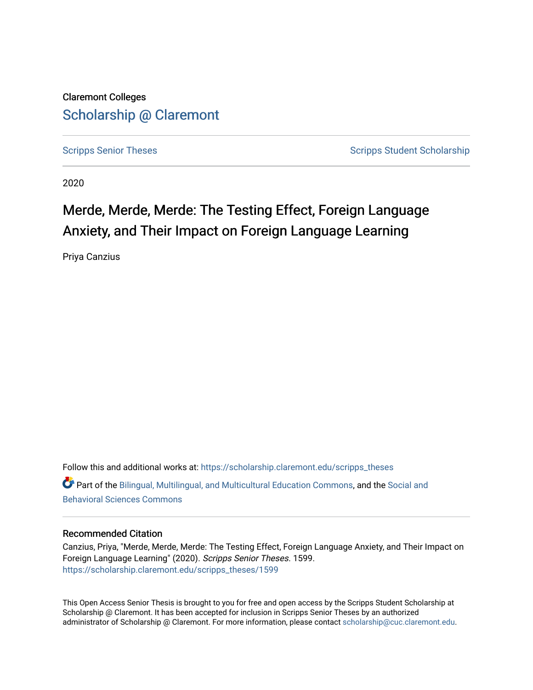Claremont Colleges [Scholarship @ Claremont](https://scholarship.claremont.edu/) 

[Scripps Senior Theses](https://scholarship.claremont.edu/scripps_theses) Scripps Student Scholarship

2020

# Merde, Merde, Merde: The Testing Effect, Foreign Language Anxiety, and Their Impact on Foreign Language Learning

Priya Canzius

Follow this and additional works at: [https://scholarship.claremont.edu/scripps\\_theses](https://scholarship.claremont.edu/scripps_theses?utm_source=scholarship.claremont.edu%2Fscripps_theses%2F1599&utm_medium=PDF&utm_campaign=PDFCoverPages) Part of the [Bilingual, Multilingual, and Multicultural Education Commons,](http://network.bepress.com/hgg/discipline/785?utm_source=scholarship.claremont.edu%2Fscripps_theses%2F1599&utm_medium=PDF&utm_campaign=PDFCoverPages) and the [Social and](http://network.bepress.com/hgg/discipline/316?utm_source=scholarship.claremont.edu%2Fscripps_theses%2F1599&utm_medium=PDF&utm_campaign=PDFCoverPages)  [Behavioral Sciences Commons](http://network.bepress.com/hgg/discipline/316?utm_source=scholarship.claremont.edu%2Fscripps_theses%2F1599&utm_medium=PDF&utm_campaign=PDFCoverPages) 

#### Recommended Citation

Canzius, Priya, "Merde, Merde, Merde: The Testing Effect, Foreign Language Anxiety, and Their Impact on Foreign Language Learning" (2020). Scripps Senior Theses. 1599. [https://scholarship.claremont.edu/scripps\\_theses/1599](https://scholarship.claremont.edu/scripps_theses/1599?utm_source=scholarship.claremont.edu%2Fscripps_theses%2F1599&utm_medium=PDF&utm_campaign=PDFCoverPages) 

This Open Access Senior Thesis is brought to you for free and open access by the Scripps Student Scholarship at Scholarship @ Claremont. It has been accepted for inclusion in Scripps Senior Theses by an authorized administrator of Scholarship @ Claremont. For more information, please contact [scholarship@cuc.claremont.edu.](mailto:scholarship@cuc.claremont.edu)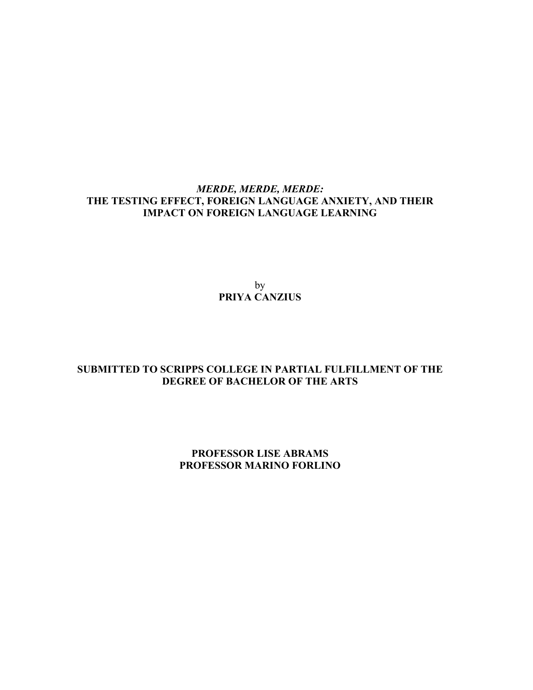# *MERDE, MERDE, MERDE:*  **THE TESTING EFFECT, FOREIGN LANGUAGE ANXIETY, AND THEIR IMPACT ON FOREIGN LANGUAGE LEARNING**

by **PRIYA CANZIUS**

# **SUBMITTED TO SCRIPPS COLLEGE IN PARTIAL FULFILLMENT OF THE DEGREE OF BACHELOR OF THE ARTS**

# **PROFESSOR LISE ABRAMS PROFESSOR MARINO FORLINO**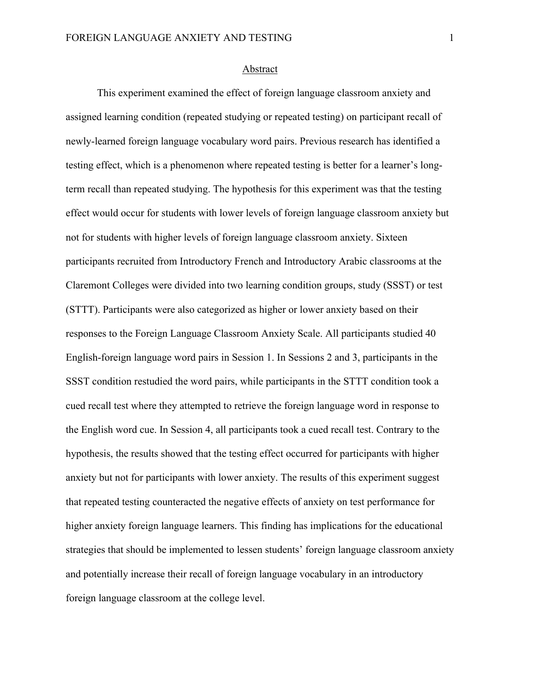#### Abstract

This experiment examined the effect of foreign language classroom anxiety and assigned learning condition (repeated studying or repeated testing) on participant recall of newly-learned foreign language vocabulary word pairs. Previous research has identified a testing effect, which is a phenomenon where repeated testing is better for a learner's longterm recall than repeated studying. The hypothesis for this experiment was that the testing effect would occur for students with lower levels of foreign language classroom anxiety but not for students with higher levels of foreign language classroom anxiety. Sixteen participants recruited from Introductory French and Introductory Arabic classrooms at the Claremont Colleges were divided into two learning condition groups, study (SSST) or test (STTT). Participants were also categorized as higher or lower anxiety based on their responses to the Foreign Language Classroom Anxiety Scale. All participants studied 40 English-foreign language word pairs in Session 1. In Sessions 2 and 3, participants in the SSST condition restudied the word pairs, while participants in the STTT condition took a cued recall test where they attempted to retrieve the foreign language word in response to the English word cue. In Session 4, all participants took a cued recall test. Contrary to the hypothesis, the results showed that the testing effect occurred for participants with higher anxiety but not for participants with lower anxiety. The results of this experiment suggest that repeated testing counteracted the negative effects of anxiety on test performance for higher anxiety foreign language learners. This finding has implications for the educational strategies that should be implemented to lessen students' foreign language classroom anxiety and potentially increase their recall of foreign language vocabulary in an introductory foreign language classroom at the college level.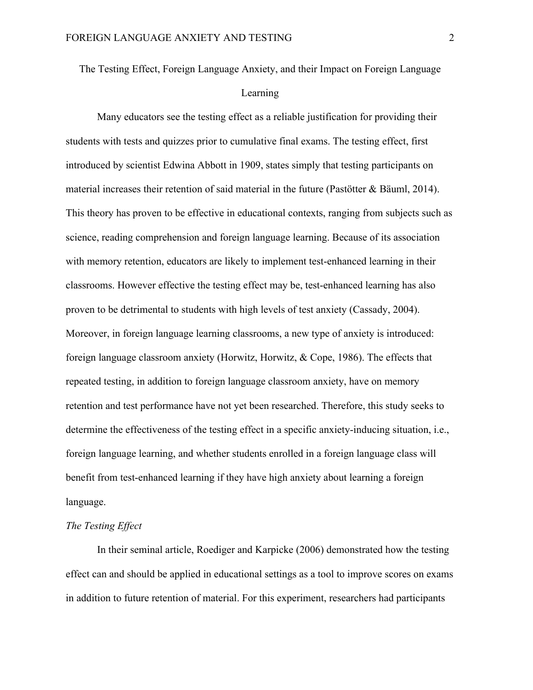The Testing Effect, Foreign Language Anxiety, and their Impact on Foreign Language

# Learning

Many educators see the testing effect as a reliable justification for providing their students with tests and quizzes prior to cumulative final exams. The testing effect, first introduced by scientist Edwina Abbott in 1909, states simply that testing participants on material increases their retention of said material in the future (Pastötter & Bäuml, 2014). This theory has proven to be effective in educational contexts, ranging from subjects such as science, reading comprehension and foreign language learning. Because of its association with memory retention, educators are likely to implement test-enhanced learning in their classrooms. However effective the testing effect may be, test-enhanced learning has also proven to be detrimental to students with high levels of test anxiety (Cassady, 2004). Moreover, in foreign language learning classrooms, a new type of anxiety is introduced: foreign language classroom anxiety (Horwitz, Horwitz, & Cope, 1986). The effects that repeated testing, in addition to foreign language classroom anxiety, have on memory retention and test performance have not yet been researched. Therefore, this study seeks to determine the effectiveness of the testing effect in a specific anxiety-inducing situation, i.e., foreign language learning, and whether students enrolled in a foreign language class will benefit from test-enhanced learning if they have high anxiety about learning a foreign language.

## *The Testing Effect*

In their seminal article, Roediger and Karpicke (2006) demonstrated how the testing effect can and should be applied in educational settings as a tool to improve scores on exams in addition to future retention of material. For this experiment, researchers had participants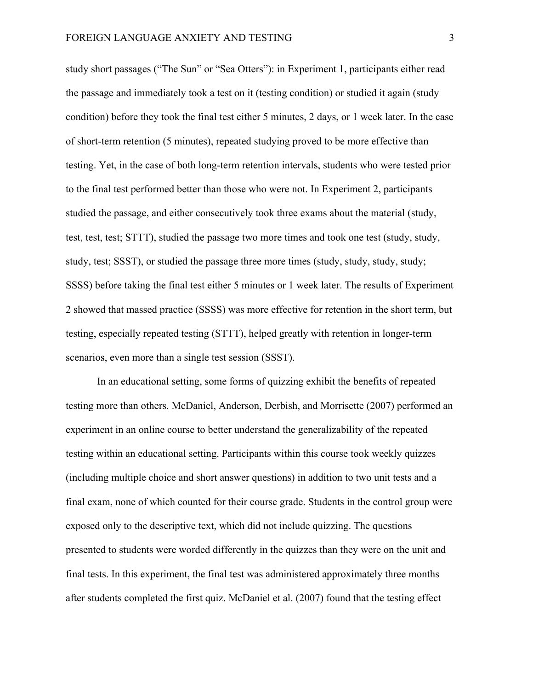study short passages ("The Sun" or "Sea Otters"): in Experiment 1, participants either read the passage and immediately took a test on it (testing condition) or studied it again (study condition) before they took the final test either 5 minutes, 2 days, or 1 week later. In the case of short-term retention (5 minutes), repeated studying proved to be more effective than testing. Yet, in the case of both long-term retention intervals, students who were tested prior to the final test performed better than those who were not. In Experiment 2, participants studied the passage, and either consecutively took three exams about the material (study, test, test, test; STTT), studied the passage two more times and took one test (study, study, study, test; SSST), or studied the passage three more times (study, study, study, study; SSSS) before taking the final test either 5 minutes or 1 week later. The results of Experiment 2 showed that massed practice (SSSS) was more effective for retention in the short term, but testing, especially repeated testing (STTT), helped greatly with retention in longer-term scenarios, even more than a single test session (SSST).

In an educational setting, some forms of quizzing exhibit the benefits of repeated testing more than others. McDaniel, Anderson, Derbish, and Morrisette (2007) performed an experiment in an online course to better understand the generalizability of the repeated testing within an educational setting. Participants within this course took weekly quizzes (including multiple choice and short answer questions) in addition to two unit tests and a final exam, none of which counted for their course grade. Students in the control group were exposed only to the descriptive text, which did not include quizzing. The questions presented to students were worded differently in the quizzes than they were on the unit and final tests. In this experiment, the final test was administered approximately three months after students completed the first quiz. McDaniel et al. (2007) found that the testing effect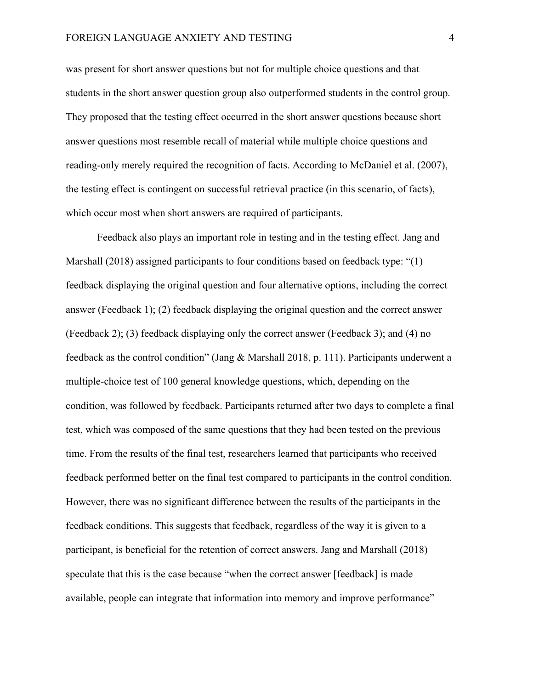was present for short answer questions but not for multiple choice questions and that students in the short answer question group also outperformed students in the control group. They proposed that the testing effect occurred in the short answer questions because short answer questions most resemble recall of material while multiple choice questions and reading-only merely required the recognition of facts. According to McDaniel et al. (2007), the testing effect is contingent on successful retrieval practice (in this scenario, of facts), which occur most when short answers are required of participants.

Feedback also plays an important role in testing and in the testing effect. Jang and Marshall (2018) assigned participants to four conditions based on feedback type: "(1) feedback displaying the original question and four alternative options, including the correct answer (Feedback 1); (2) feedback displaying the original question and the correct answer (Feedback 2); (3) feedback displaying only the correct answer (Feedback 3); and (4) no feedback as the control condition" (Jang & Marshall 2018, p. 111). Participants underwent a multiple-choice test of 100 general knowledge questions, which, depending on the condition, was followed by feedback. Participants returned after two days to complete a final test, which was composed of the same questions that they had been tested on the previous time. From the results of the final test, researchers learned that participants who received feedback performed better on the final test compared to participants in the control condition. However, there was no significant difference between the results of the participants in the feedback conditions. This suggests that feedback, regardless of the way it is given to a participant, is beneficial for the retention of correct answers. Jang and Marshall (2018) speculate that this is the case because "when the correct answer [feedback] is made available, people can integrate that information into memory and improve performance"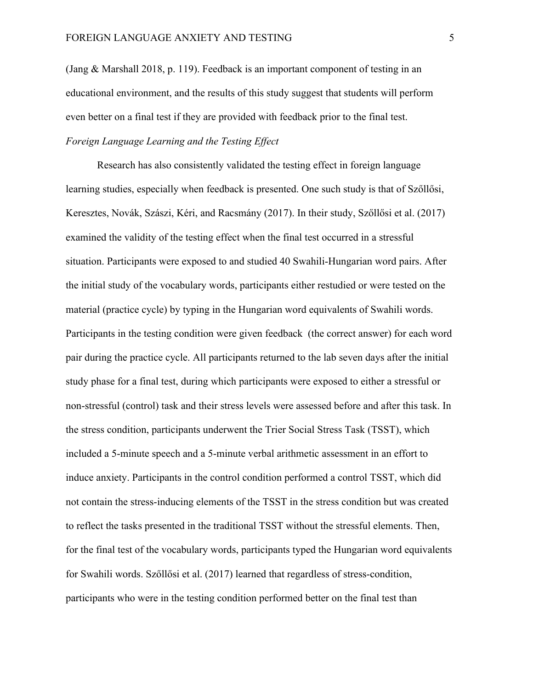(Jang & Marshall 2018, p. 119). Feedback is an important component of testing in an educational environment, and the results of this study suggest that students will perform even better on a final test if they are provided with feedback prior to the final test. *Foreign Language Learning and the Testing Effect*

Research has also consistently validated the testing effect in foreign language learning studies, especially when feedback is presented. One such study is that of Szőllősi, Keresztes, Novák, Szászi, Kéri, and Racsmány (2017). In their study, Szőllősi et al. (2017) examined the validity of the testing effect when the final test occurred in a stressful situation. Participants were exposed to and studied 40 Swahili-Hungarian word pairs. After the initial study of the vocabulary words, participants either restudied or were tested on the material (practice cycle) by typing in the Hungarian word equivalents of Swahili words. Participants in the testing condition were given feedback (the correct answer) for each word pair during the practice cycle. All participants returned to the lab seven days after the initial study phase for a final test, during which participants were exposed to either a stressful or non-stressful (control) task and their stress levels were assessed before and after this task. In the stress condition, participants underwent the Trier Social Stress Task (TSST), which included a 5-minute speech and a 5-minute verbal arithmetic assessment in an effort to induce anxiety. Participants in the control condition performed a control TSST, which did not contain the stress-inducing elements of the TSST in the stress condition but was created to reflect the tasks presented in the traditional TSST without the stressful elements. Then, for the final test of the vocabulary words, participants typed the Hungarian word equivalents for Swahili words. Szőllősi et al. (2017) learned that regardless of stress-condition, participants who were in the testing condition performed better on the final test than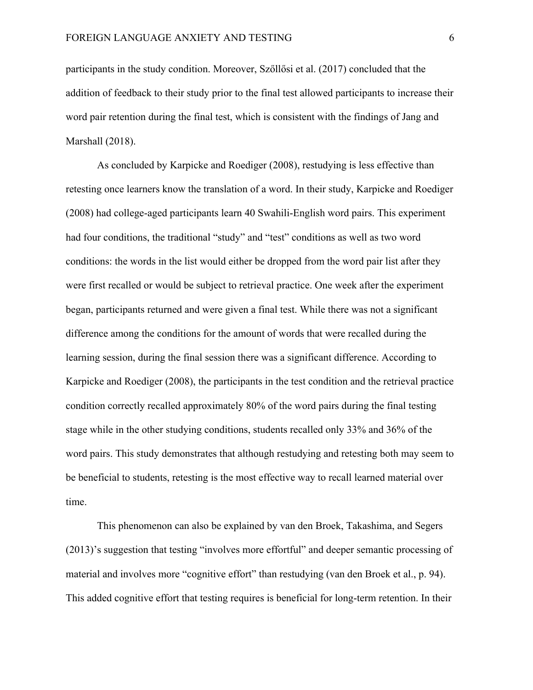participants in the study condition. Moreover, Szőllősi et al. (2017) concluded that the addition of feedback to their study prior to the final test allowed participants to increase their word pair retention during the final test, which is consistent with the findings of Jang and Marshall (2018).

As concluded by Karpicke and Roediger (2008), restudying is less effective than retesting once learners know the translation of a word. In their study, Karpicke and Roediger (2008) had college-aged participants learn 40 Swahili-English word pairs. This experiment had four conditions, the traditional "study" and "test" conditions as well as two word conditions: the words in the list would either be dropped from the word pair list after they were first recalled or would be subject to retrieval practice. One week after the experiment began, participants returned and were given a final test. While there was not a significant difference among the conditions for the amount of words that were recalled during the learning session, during the final session there was a significant difference. According to Karpicke and Roediger (2008), the participants in the test condition and the retrieval practice condition correctly recalled approximately 80% of the word pairs during the final testing stage while in the other studying conditions, students recalled only 33% and 36% of the word pairs. This study demonstrates that although restudying and retesting both may seem to be beneficial to students, retesting is the most effective way to recall learned material over time.

This phenomenon can also be explained by van den Broek, Takashima, and Segers (2013)'s suggestion that testing "involves more effortful" and deeper semantic processing of material and involves more "cognitive effort" than restudying (van den Broek et al., p. 94). This added cognitive effort that testing requires is beneficial for long-term retention. In their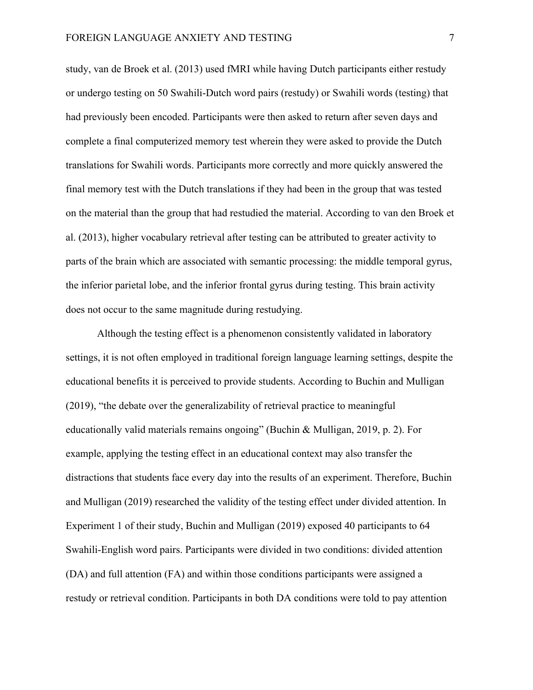study, van de Broek et al. (2013) used fMRI while having Dutch participants either restudy or undergo testing on 50 Swahili-Dutch word pairs (restudy) or Swahili words (testing) that had previously been encoded. Participants were then asked to return after seven days and complete a final computerized memory test wherein they were asked to provide the Dutch translations for Swahili words. Participants more correctly and more quickly answered the final memory test with the Dutch translations if they had been in the group that was tested on the material than the group that had restudied the material. According to van den Broek et al. (2013), higher vocabulary retrieval after testing can be attributed to greater activity to parts of the brain which are associated with semantic processing: the middle temporal gyrus, the inferior parietal lobe, and the inferior frontal gyrus during testing. This brain activity does not occur to the same magnitude during restudying.

Although the testing effect is a phenomenon consistently validated in laboratory settings, it is not often employed in traditional foreign language learning settings, despite the educational benefits it is perceived to provide students. According to Buchin and Mulligan (2019), "the debate over the generalizability of retrieval practice to meaningful educationally valid materials remains ongoing" (Buchin & Mulligan, 2019, p. 2). For example, applying the testing effect in an educational context may also transfer the distractions that students face every day into the results of an experiment. Therefore, Buchin and Mulligan (2019) researched the validity of the testing effect under divided attention. In Experiment 1 of their study, Buchin and Mulligan (2019) exposed 40 participants to 64 Swahili-English word pairs. Participants were divided in two conditions: divided attention (DA) and full attention (FA) and within those conditions participants were assigned a restudy or retrieval condition. Participants in both DA conditions were told to pay attention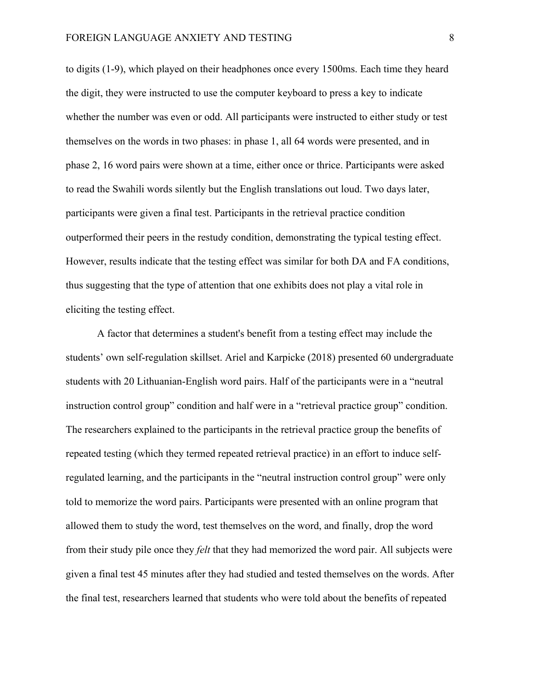to digits (1-9), which played on their headphones once every 1500ms. Each time they heard the digit, they were instructed to use the computer keyboard to press a key to indicate whether the number was even or odd. All participants were instructed to either study or test themselves on the words in two phases: in phase 1, all 64 words were presented, and in phase 2, 16 word pairs were shown at a time, either once or thrice. Participants were asked to read the Swahili words silently but the English translations out loud. Two days later, participants were given a final test. Participants in the retrieval practice condition outperformed their peers in the restudy condition, demonstrating the typical testing effect. However, results indicate that the testing effect was similar for both DA and FA conditions, thus suggesting that the type of attention that one exhibits does not play a vital role in eliciting the testing effect.

A factor that determines a student's benefit from a testing effect may include the students' own self-regulation skillset. Ariel and Karpicke (2018) presented 60 undergraduate students with 20 Lithuanian-English word pairs. Half of the participants were in a "neutral instruction control group" condition and half were in a "retrieval practice group" condition. The researchers explained to the participants in the retrieval practice group the benefits of repeated testing (which they termed repeated retrieval practice) in an effort to induce selfregulated learning, and the participants in the "neutral instruction control group" were only told to memorize the word pairs. Participants were presented with an online program that allowed them to study the word, test themselves on the word, and finally, drop the word from their study pile once they *felt* that they had memorized the word pair. All subjects were given a final test 45 minutes after they had studied and tested themselves on the words. After the final test, researchers learned that students who were told about the benefits of repeated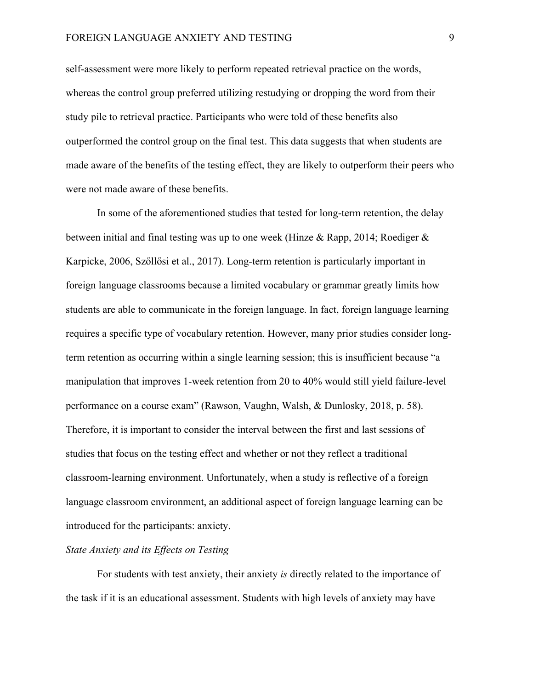self-assessment were more likely to perform repeated retrieval practice on the words, whereas the control group preferred utilizing restudying or dropping the word from their study pile to retrieval practice. Participants who were told of these benefits also outperformed the control group on the final test. This data suggests that when students are made aware of the benefits of the testing effect, they are likely to outperform their peers who were not made aware of these benefits.

In some of the aforementioned studies that tested for long-term retention, the delay between initial and final testing was up to one week (Hinze & Rapp, 2014; Roediger & Karpicke, 2006, Szőllősi et al., 2017). Long-term retention is particularly important in foreign language classrooms because a limited vocabulary or grammar greatly limits how students are able to communicate in the foreign language. In fact, foreign language learning requires a specific type of vocabulary retention. However, many prior studies consider longterm retention as occurring within a single learning session; this is insufficient because "a manipulation that improves 1-week retention from 20 to 40% would still yield failure-level performance on a course exam" (Rawson, Vaughn, Walsh, & Dunlosky, 2018, p. 58). Therefore, it is important to consider the interval between the first and last sessions of studies that focus on the testing effect and whether or not they reflect a traditional classroom-learning environment. Unfortunately, when a study is reflective of a foreign language classroom environment, an additional aspect of foreign language learning can be introduced for the participants: anxiety.

#### *State Anxiety and its Effects on Testing*

For students with test anxiety, their anxiety *is* directly related to the importance of the task if it is an educational assessment. Students with high levels of anxiety may have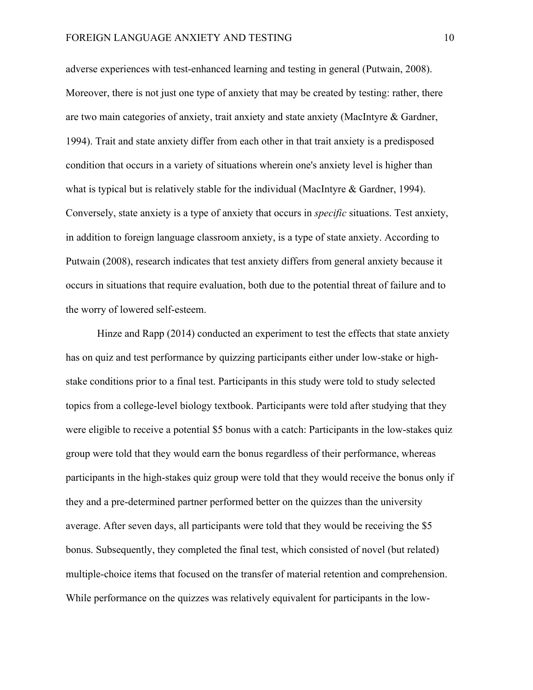adverse experiences with test-enhanced learning and testing in general (Putwain, 2008). Moreover, there is not just one type of anxiety that may be created by testing: rather, there are two main categories of anxiety, trait anxiety and state anxiety (MacIntyre & Gardner, 1994). Trait and state anxiety differ from each other in that trait anxiety is a predisposed condition that occurs in a variety of situations wherein one's anxiety level is higher than what is typical but is relatively stable for the individual (MacIntyre  $\&$  Gardner, 1994). Conversely, state anxiety is a type of anxiety that occurs in *specific* situations. Test anxiety, in addition to foreign language classroom anxiety, is a type of state anxiety. According to Putwain (2008), research indicates that test anxiety differs from general anxiety because it occurs in situations that require evaluation, both due to the potential threat of failure and to the worry of lowered self-esteem.

Hinze and Rapp (2014) conducted an experiment to test the effects that state anxiety has on quiz and test performance by quizzing participants either under low-stake or highstake conditions prior to a final test. Participants in this study were told to study selected topics from a college-level biology textbook. Participants were told after studying that they were eligible to receive a potential \$5 bonus with a catch: Participants in the low-stakes quiz group were told that they would earn the bonus regardless of their performance, whereas participants in the high-stakes quiz group were told that they would receive the bonus only if they and a pre-determined partner performed better on the quizzes than the university average. After seven days, all participants were told that they would be receiving the \$5 bonus. Subsequently, they completed the final test, which consisted of novel (but related) multiple-choice items that focused on the transfer of material retention and comprehension. While performance on the quizzes was relatively equivalent for participants in the low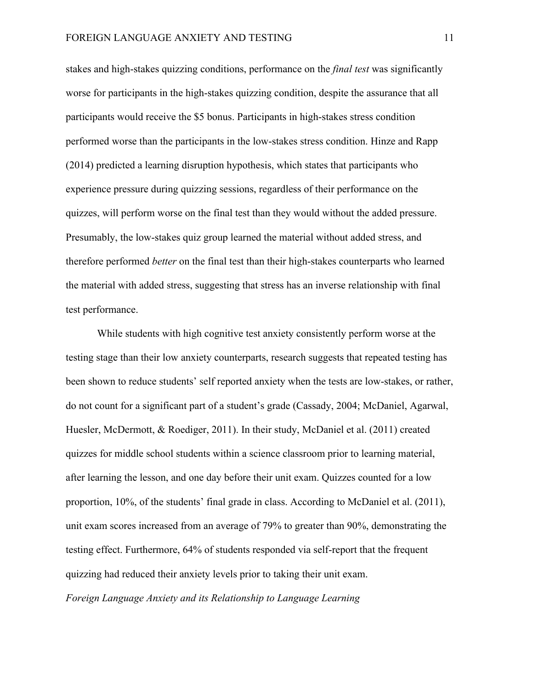stakes and high-stakes quizzing conditions, performance on the *final test* was significantly worse for participants in the high-stakes quizzing condition, despite the assurance that all participants would receive the \$5 bonus. Participants in high-stakes stress condition performed worse than the participants in the low-stakes stress condition. Hinze and Rapp (2014) predicted a learning disruption hypothesis, which states that participants who experience pressure during quizzing sessions, regardless of their performance on the quizzes, will perform worse on the final test than they would without the added pressure. Presumably, the low-stakes quiz group learned the material without added stress, and therefore performed *better* on the final test than their high-stakes counterparts who learned the material with added stress, suggesting that stress has an inverse relationship with final test performance.

While students with high cognitive test anxiety consistently perform worse at the testing stage than their low anxiety counterparts, research suggests that repeated testing has been shown to reduce students' self reported anxiety when the tests are low-stakes, or rather, do not count for a significant part of a student's grade (Cassady, 2004; McDaniel, Agarwal, Huesler, McDermott, & Roediger, 2011). In their study, McDaniel et al. (2011) created quizzes for middle school students within a science classroom prior to learning material, after learning the lesson, and one day before their unit exam. Quizzes counted for a low proportion, 10%, of the students' final grade in class. According to McDaniel et al. (2011), unit exam scores increased from an average of 79% to greater than 90%, demonstrating the testing effect. Furthermore, 64% of students responded via self-report that the frequent quizzing had reduced their anxiety levels prior to taking their unit exam. *Foreign Language Anxiety and its Relationship to Language Learning*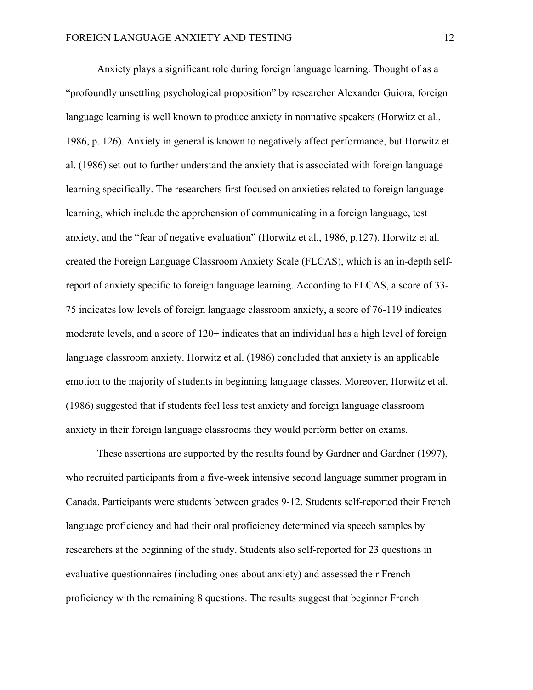Anxiety plays a significant role during foreign language learning. Thought of as a "profoundly unsettling psychological proposition" by researcher Alexander Guiora, foreign language learning is well known to produce anxiety in nonnative speakers (Horwitz et al., 1986, p. 126). Anxiety in general is known to negatively affect performance, but Horwitz et al. (1986) set out to further understand the anxiety that is associated with foreign language learning specifically. The researchers first focused on anxieties related to foreign language learning, which include the apprehension of communicating in a foreign language, test anxiety, and the "fear of negative evaluation" (Horwitz et al., 1986, p.127). Horwitz et al. created the Foreign Language Classroom Anxiety Scale (FLCAS), which is an in-depth selfreport of anxiety specific to foreign language learning. According to FLCAS, a score of 33- 75 indicates low levels of foreign language classroom anxiety, a score of 76-119 indicates moderate levels, and a score of 120+ indicates that an individual has a high level of foreign language classroom anxiety. Horwitz et al. (1986) concluded that anxiety is an applicable emotion to the majority of students in beginning language classes. Moreover, Horwitz et al. (1986) suggested that if students feel less test anxiety and foreign language classroom anxiety in their foreign language classrooms they would perform better on exams.

These assertions are supported by the results found by Gardner and Gardner (1997), who recruited participants from a five-week intensive second language summer program in Canada. Participants were students between grades 9-12. Students self-reported their French language proficiency and had their oral proficiency determined via speech samples by researchers at the beginning of the study. Students also self-reported for 23 questions in evaluative questionnaires (including ones about anxiety) and assessed their French proficiency with the remaining 8 questions. The results suggest that beginner French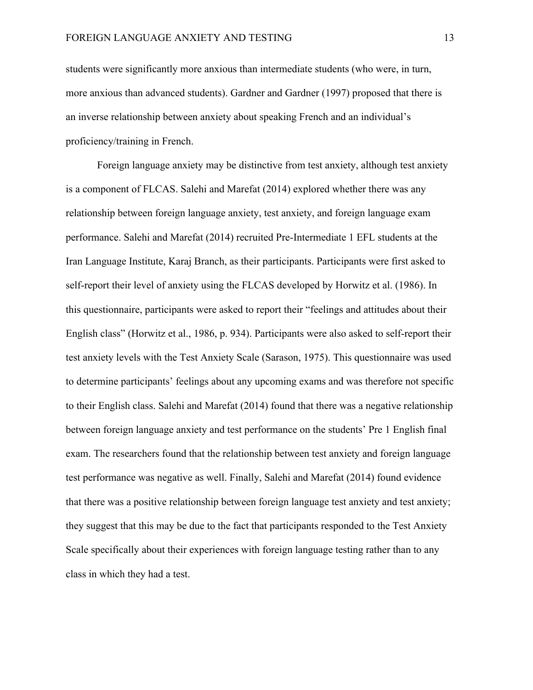students were significantly more anxious than intermediate students (who were, in turn, more anxious than advanced students). Gardner and Gardner (1997) proposed that there is an inverse relationship between anxiety about speaking French and an individual's proficiency/training in French.

Foreign language anxiety may be distinctive from test anxiety, although test anxiety is a component of FLCAS. Salehi and Marefat (2014) explored whether there was any relationship between foreign language anxiety, test anxiety, and foreign language exam performance. Salehi and Marefat (2014) recruited Pre-Intermediate 1 EFL students at the Iran Language Institute, Karaj Branch, as their participants. Participants were first asked to self-report their level of anxiety using the FLCAS developed by Horwitz et al. (1986). In this questionnaire, participants were asked to report their "feelings and attitudes about their English class" (Horwitz et al., 1986, p. 934). Participants were also asked to self-report their test anxiety levels with the Test Anxiety Scale (Sarason, 1975). This questionnaire was used to determine participants' feelings about any upcoming exams and was therefore not specific to their English class. Salehi and Marefat (2014) found that there was a negative relationship between foreign language anxiety and test performance on the students' Pre 1 English final exam. The researchers found that the relationship between test anxiety and foreign language test performance was negative as well. Finally, Salehi and Marefat (2014) found evidence that there was a positive relationship between foreign language test anxiety and test anxiety; they suggest that this may be due to the fact that participants responded to the Test Anxiety Scale specifically about their experiences with foreign language testing rather than to any class in which they had a test.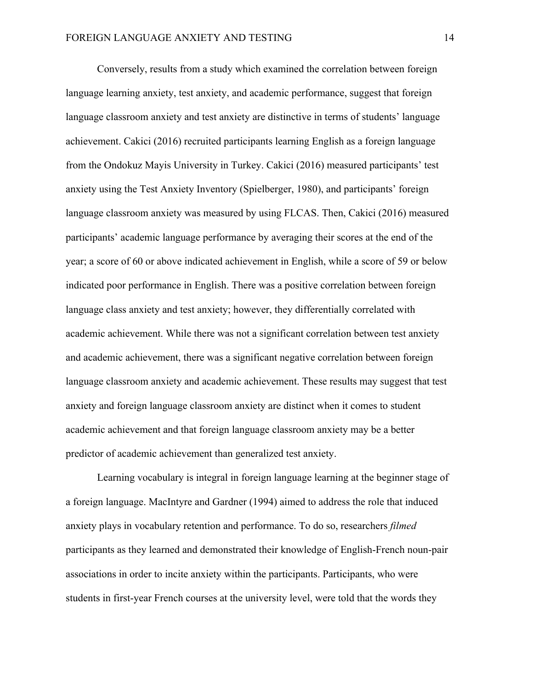Conversely, results from a study which examined the correlation between foreign language learning anxiety, test anxiety, and academic performance, suggest that foreign language classroom anxiety and test anxiety are distinctive in terms of students' language achievement. Cakici (2016) recruited participants learning English as a foreign language from the Ondokuz Mayis University in Turkey. Cakici (2016) measured participants' test anxiety using the Test Anxiety Inventory (Spielberger, 1980), and participants' foreign language classroom anxiety was measured by using FLCAS. Then, Cakici (2016) measured participants' academic language performance by averaging their scores at the end of the year; a score of 60 or above indicated achievement in English, while a score of 59 or below indicated poor performance in English. There was a positive correlation between foreign language class anxiety and test anxiety; however, they differentially correlated with academic achievement. While there was not a significant correlation between test anxiety and academic achievement, there was a significant negative correlation between foreign language classroom anxiety and academic achievement. These results may suggest that test anxiety and foreign language classroom anxiety are distinct when it comes to student academic achievement and that foreign language classroom anxiety may be a better predictor of academic achievement than generalized test anxiety.

Learning vocabulary is integral in foreign language learning at the beginner stage of a foreign language. MacIntyre and Gardner (1994) aimed to address the role that induced anxiety plays in vocabulary retention and performance. To do so, researchers *filmed* participants as they learned and demonstrated their knowledge of English-French noun-pair associations in order to incite anxiety within the participants. Participants, who were students in first-year French courses at the university level, were told that the words they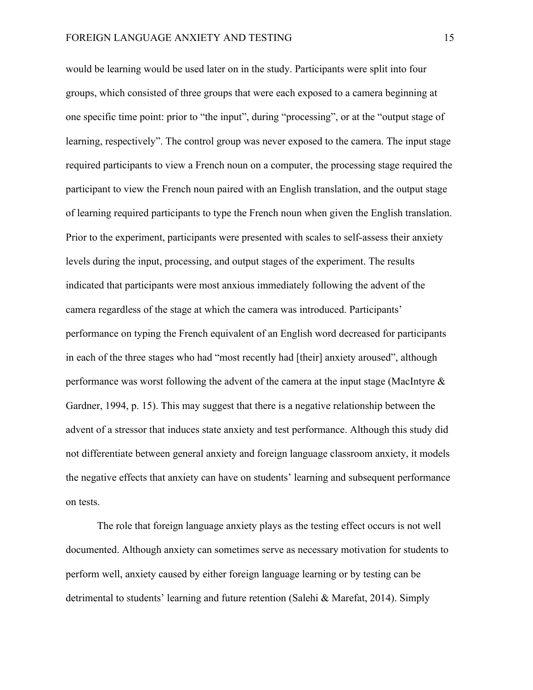would be learning would be used later on in the study. Participants were split into four groups, which consisted of three groups that were each exposed to a camera beginning at one specific time point: prior to "the input", during "processing", or at the "output stage of learning, respectively". The control group was never exposed to the camera. The input stage required participants to view a French noun on a computer, the processing stage required the participant to view the French noun paired with an English translation, and the output stage of learning required participants to type the French noun when given the English translation. Prior to the experiment, participants were presented with scales to self-assess their anxiety levels during the input, processing, and output stages of the experiment. The results indicated that participants were most anxious immediately following the advent of the camera regardless of the stage at which the camera was introduced. Participants' performance on typing the French equivalent of an English word decreased for participants in each of the three stages who had "most recently had [their] anxiety aroused", although performance was worst following the advent of the camera at the input stage (MacIntyre & Gardner, 1994, p. 15). This may suggest that there is a negative relationship between the advent of a stressor that induces state anxiety and test performance. Although this study did not differentiate between general anxiety and foreign language classroom anxiety, it models the negative effects that anxiety can have on students' learning and subsequent performance on tests.

The role that foreign language anxiety plays as the testing effect occurs is not well documented. Although anxiety can sometimes serve as necessary motivation for students to perform well, anxiety caused by either foreign language learning or by testing can be detrimental to students' learning and future retention (Salehi & Marefat, 2014). Simply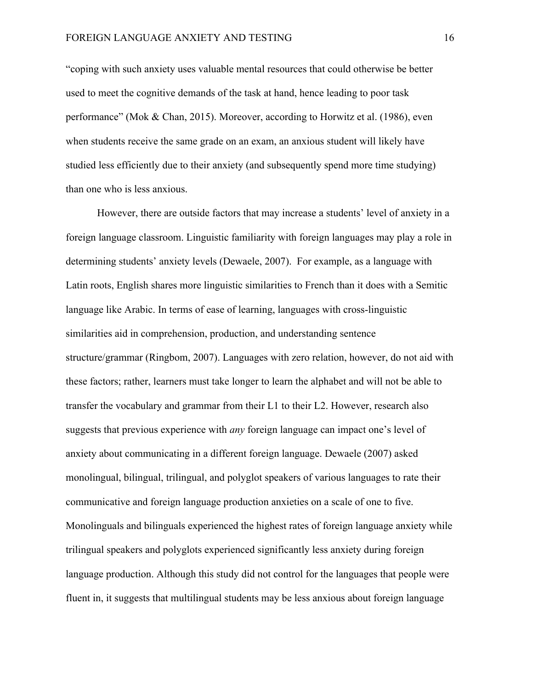"coping with such anxiety uses valuable mental resources that could otherwise be better used to meet the cognitive demands of the task at hand, hence leading to poor task performance" (Mok & Chan, 2015). Moreover, according to Horwitz et al. (1986), even when students receive the same grade on an exam, an anxious student will likely have studied less efficiently due to their anxiety (and subsequently spend more time studying) than one who is less anxious.

However, there are outside factors that may increase a students' level of anxiety in a foreign language classroom. Linguistic familiarity with foreign languages may play a role in determining students' anxiety levels (Dewaele, 2007). For example, as a language with Latin roots, English shares more linguistic similarities to French than it does with a Semitic language like Arabic. In terms of ease of learning, languages with cross-linguistic similarities aid in comprehension, production, and understanding sentence structure/grammar (Ringbom, 2007). Languages with zero relation, however, do not aid with these factors; rather, learners must take longer to learn the alphabet and will not be able to transfer the vocabulary and grammar from their L1 to their L2. However, research also suggests that previous experience with *any* foreign language can impact one's level of anxiety about communicating in a different foreign language. Dewaele (2007) asked monolingual, bilingual, trilingual, and polyglot speakers of various languages to rate their communicative and foreign language production anxieties on a scale of one to five. Monolinguals and bilinguals experienced the highest rates of foreign language anxiety while trilingual speakers and polyglots experienced significantly less anxiety during foreign language production. Although this study did not control for the languages that people were fluent in, it suggests that multilingual students may be less anxious about foreign language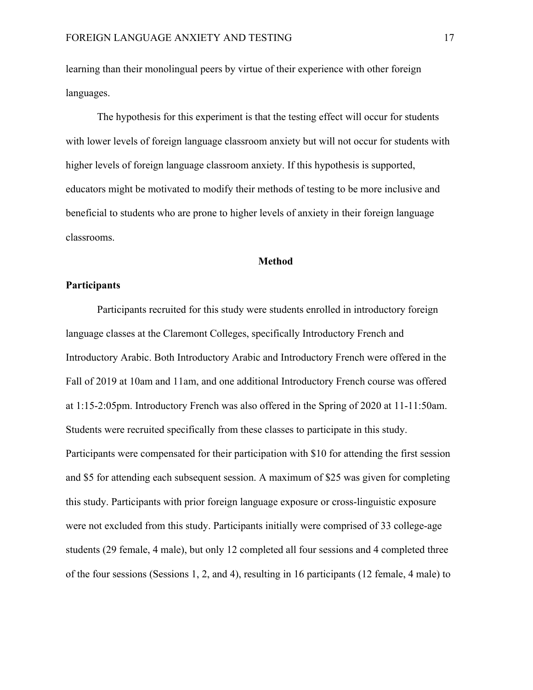learning than their monolingual peers by virtue of their experience with other foreign languages.

The hypothesis for this experiment is that the testing effect will occur for students with lower levels of foreign language classroom anxiety but will not occur for students with higher levels of foreign language classroom anxiety. If this hypothesis is supported, educators might be motivated to modify their methods of testing to be more inclusive and beneficial to students who are prone to higher levels of anxiety in their foreign language classrooms.

#### **Method**

#### **Participants**

Participants recruited for this study were students enrolled in introductory foreign language classes at the Claremont Colleges, specifically Introductory French and Introductory Arabic. Both Introductory Arabic and Introductory French were offered in the Fall of 2019 at 10am and 11am, and one additional Introductory French course was offered at 1:15-2:05pm. Introductory French was also offered in the Spring of 2020 at 11-11:50am. Students were recruited specifically from these classes to participate in this study. Participants were compensated for their participation with \$10 for attending the first session and \$5 for attending each subsequent session. A maximum of \$25 was given for completing this study. Participants with prior foreign language exposure or cross-linguistic exposure were not excluded from this study. Participants initially were comprised of 33 college-age students (29 female, 4 male), but only 12 completed all four sessions and 4 completed three of the four sessions (Sessions 1, 2, and 4), resulting in 16 participants (12 female, 4 male) to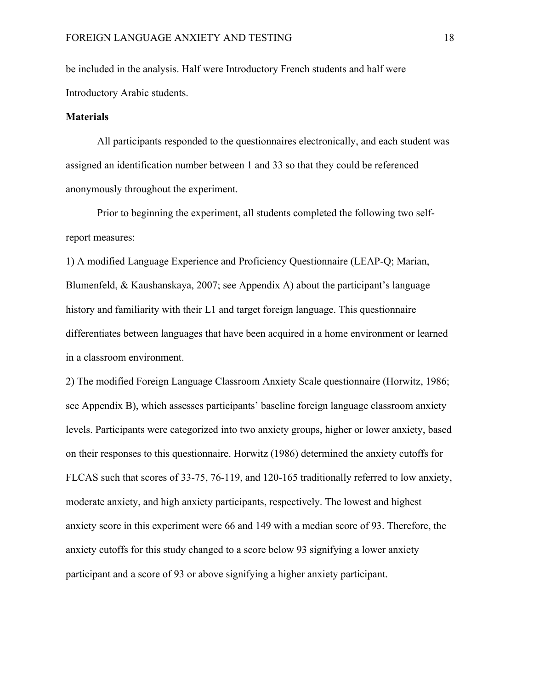be included in the analysis. Half were Introductory French students and half were Introductory Arabic students.

#### **Materials**

All participants responded to the questionnaires electronically, and each student was assigned an identification number between 1 and 33 so that they could be referenced anonymously throughout the experiment.

Prior to beginning the experiment, all students completed the following two selfreport measures:

1) A modified Language Experience and Proficiency Questionnaire (LEAP-Q; Marian, Blumenfeld, & Kaushanskaya, 2007; see Appendix A) about the participant's language history and familiarity with their L1 and target foreign language. This questionnaire differentiates between languages that have been acquired in a home environment or learned in a classroom environment.

2) The modified Foreign Language Classroom Anxiety Scale questionnaire (Horwitz, 1986; see Appendix B), which assesses participants' baseline foreign language classroom anxiety levels. Participants were categorized into two anxiety groups, higher or lower anxiety, based on their responses to this questionnaire. Horwitz (1986) determined the anxiety cutoffs for FLCAS such that scores of 33-75, 76-119, and 120-165 traditionally referred to low anxiety, moderate anxiety, and high anxiety participants, respectively. The lowest and highest anxiety score in this experiment were 66 and 149 with a median score of 93. Therefore, the anxiety cutoffs for this study changed to a score below 93 signifying a lower anxiety participant and a score of 93 or above signifying a higher anxiety participant.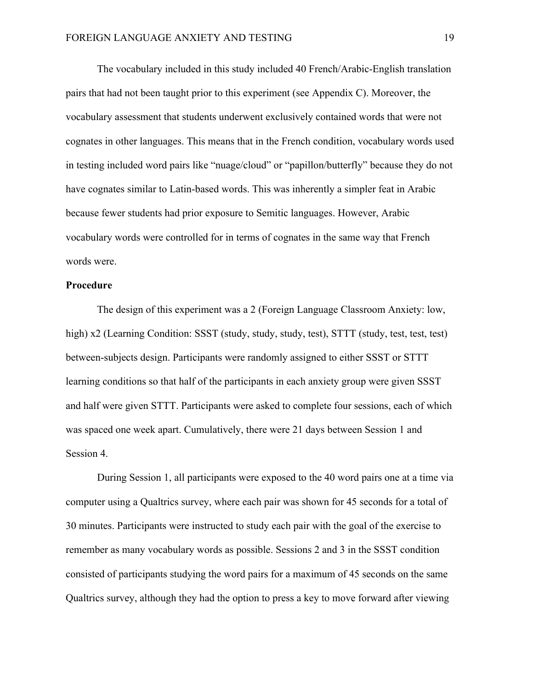The vocabulary included in this study included 40 French/Arabic-English translation pairs that had not been taught prior to this experiment (see Appendix C). Moreover, the vocabulary assessment that students underwent exclusively contained words that were not cognates in other languages. This means that in the French condition, vocabulary words used in testing included word pairs like "nuage/cloud" or "papillon/butterfly" because they do not have cognates similar to Latin-based words. This was inherently a simpler feat in Arabic because fewer students had prior exposure to Semitic languages. However, Arabic vocabulary words were controlled for in terms of cognates in the same way that French words were.

#### **Procedure**

The design of this experiment was a 2 (Foreign Language Classroom Anxiety: low, high) x2 (Learning Condition: SSST (study, study, study, test), STTT (study, test, test, test) between-subjects design. Participants were randomly assigned to either SSST or STTT learning conditions so that half of the participants in each anxiety group were given SSST and half were given STTT. Participants were asked to complete four sessions, each of which was spaced one week apart. Cumulatively, there were 21 days between Session 1 and Session 4.

During Session 1, all participants were exposed to the 40 word pairs one at a time via computer using a Qualtrics survey, where each pair was shown for 45 seconds for a total of 30 minutes. Participants were instructed to study each pair with the goal of the exercise to remember as many vocabulary words as possible. Sessions 2 and 3 in the SSST condition consisted of participants studying the word pairs for a maximum of 45 seconds on the same Qualtrics survey, although they had the option to press a key to move forward after viewing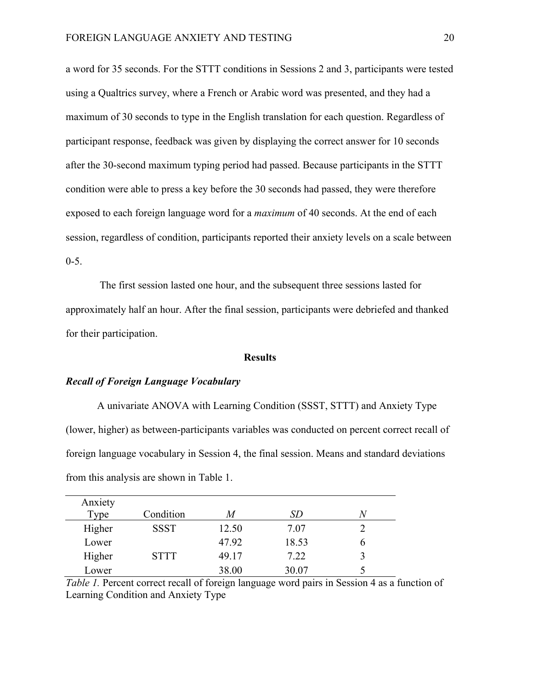a word for 35 seconds. For the STTT conditions in Sessions 2 and 3, participants were tested using a Qualtrics survey, where a French or Arabic word was presented, and they had a maximum of 30 seconds to type in the English translation for each question. Regardless of participant response, feedback was given by displaying the correct answer for 10 seconds after the 30-second maximum typing period had passed. Because participants in the STTT condition were able to press a key before the 30 seconds had passed, they were therefore exposed to each foreign language word for a *maximum* of 40 seconds. At the end of each session, regardless of condition, participants reported their anxiety levels on a scale between  $0 - 5$ .

The first session lasted one hour, and the subsequent three sessions lasted for approximately half an hour. After the final session, participants were debriefed and thanked for their participation.

#### **Results**

#### *Recall of Foreign Language Vocabulary*

A univariate ANOVA with Learning Condition (SSST, STTT) and Anxiety Type (lower, higher) as between-participants variables was conducted on percent correct recall of foreign language vocabulary in Session 4, the final session. Means and standard deviations from this analysis are shown in Table 1.

| Anxiety<br>Type | Condition   | M     | SD    |   |
|-----------------|-------------|-------|-------|---|
| Higher          | <b>SSST</b> | 12.50 | 7.07  |   |
| Lower           |             | 47.92 | 18.53 | n |
| Higher          | <b>STTT</b> | 49.17 | 7.22  | 3 |
| Lower           |             | 38.00 | 30.07 |   |

*Table 1.* Percent correct recall of foreign language word pairs in Session 4 as a function of Learning Condition and Anxiety Type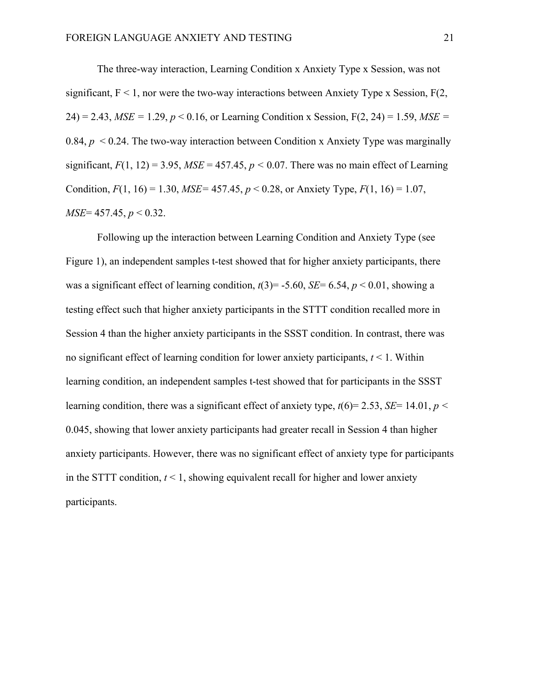The three-way interaction, Learning Condition x Anxiety Type x Session, was not significant,  $F < 1$ , nor were the two-way interactions between Anxiety Type x Session,  $F(2)$ , 24) = 2.43,  $MSE = 1.29$ ,  $p < 0.16$ , or Learning Condition x Session,  $F(2, 24) = 1.59$ ,  $MSE =$ 0.84, *p* < 0.24. The two-way interaction between Condition x Anxiety Type was marginally significant,  $F(1, 12) = 3.95$ ,  $MSE = 457.45$ ,  $p < 0.07$ . There was no main effect of Learning Condition,  $F(1, 16) = 1.30$ ,  $MSE = 457.45$ ,  $p < 0.28$ , or Anxiety Type,  $F(1, 16) = 1.07$ , *MSE*= 457.45, *p* < 0.32.

Following up the interaction between Learning Condition and Anxiety Type (see Figure 1), an independent samples t-test showed that for higher anxiety participants, there was a significant effect of learning condition,  $t(3) = -5.60$ , *SE*= 6.54,  $p < 0.01$ , showing a testing effect such that higher anxiety participants in the STTT condition recalled more in Session 4 than the higher anxiety participants in the SSST condition. In contrast, there was no significant effect of learning condition for lower anxiety participants, *t* < 1. Within learning condition, an independent samples t-test showed that for participants in the SSST learning condition, there was a significant effect of anxiety type, *t*(6)= 2.53, *SE*= 14.01, *p <*  0.045, showing that lower anxiety participants had greater recall in Session 4 than higher anxiety participants. However, there was no significant effect of anxiety type for participants in the STTT condition,  $t < 1$ , showing equivalent recall for higher and lower anxiety participants.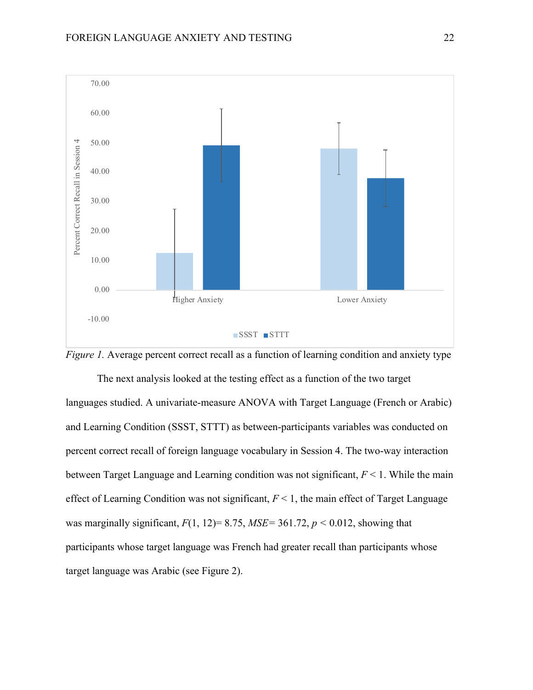



The next analysis looked at the testing effect as a function of the two target languages studied. A univariate-measure ANOVA with Target Language (French or Arabic) and Learning Condition (SSST, STTT) as between-participants variables was conducted on percent correct recall of foreign language vocabulary in Session 4. The two-way interaction between Target Language and Learning condition was not significant, *F* < 1. While the main effect of Learning Condition was not significant,  $F \leq 1$ , the main effect of Target Language was marginally significant,  $F(1, 12)=8.75$ ,  $MSE=361.72$ ,  $p < 0.012$ , showing that participants whose target language was French had greater recall than participants whose target language was Arabic (see Figure 2).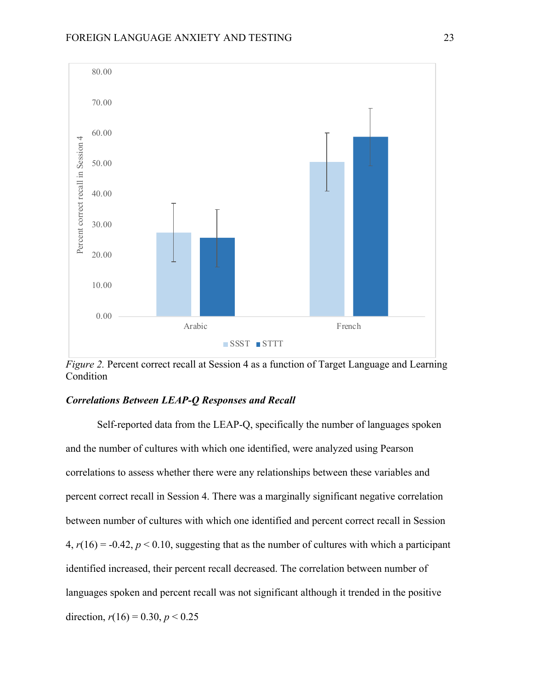

*Figure 2.* Percent correct recall at Session 4 as a function of Target Language and Learning Condition

# *Correlations Between LEAP-Q Responses and Recall*

Self-reported data from the LEAP-Q, specifically the number of languages spoken and the number of cultures with which one identified, were analyzed using Pearson correlations to assess whether there were any relationships between these variables and percent correct recall in Session 4. There was a marginally significant negative correlation between number of cultures with which one identified and percent correct recall in Session  $4, r(16) = -0.42, p < 0.10$ , suggesting that as the number of cultures with which a participant identified increased, their percent recall decreased. The correlation between number of languages spoken and percent recall was not significant although it trended in the positive direction,  $r(16) = 0.30, p < 0.25$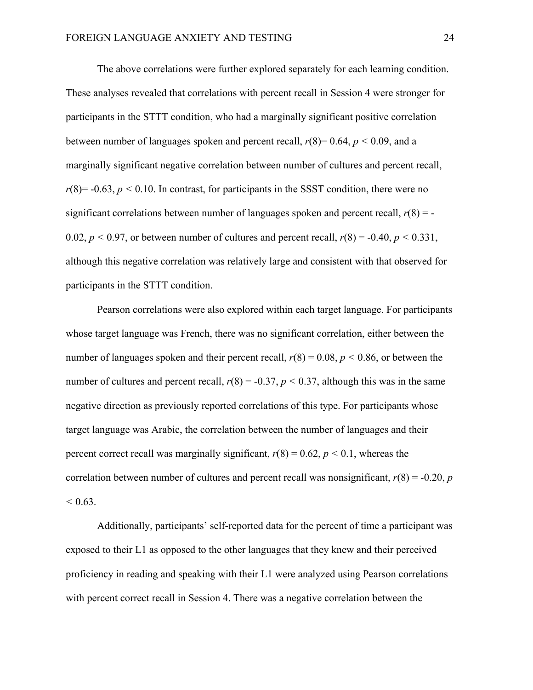The above correlations were further explored separately for each learning condition. These analyses revealed that correlations with percent recall in Session 4 were stronger for participants in the STTT condition, who had a marginally significant positive correlation between number of languages spoken and percent recall,  $r(8)=0.64$ ,  $p < 0.09$ , and a marginally significant negative correlation between number of cultures and percent recall,  $r(8) = -0.63$ ,  $p \le 0.10$ . In contrast, for participants in the SSST condition, there were no significant correlations between number of languages spoken and percent recall,  $r(8) = -$ 0.02,  $p < 0.97$ , or between number of cultures and percent recall,  $r(8) = -0.40$ ,  $p < 0.331$ , although this negative correlation was relatively large and consistent with that observed for participants in the STTT condition.

Pearson correlations were also explored within each target language. For participants whose target language was French, there was no significant correlation, either between the number of languages spoken and their percent recall,  $r(8) = 0.08$ ,  $p < 0.86$ , or between the number of cultures and percent recall,  $r(8) = -0.37$ ,  $p < 0.37$ , although this was in the same negative direction as previously reported correlations of this type. For participants whose target language was Arabic, the correlation between the number of languages and their percent correct recall was marginally significant,  $r(8) = 0.62$ ,  $p < 0.1$ , whereas the correlation between number of cultures and percent recall was nonsignificant,  $r(8) = -0.20$ , *p*  $< 0.63$ .

Additionally, participants' self-reported data for the percent of time a participant was exposed to their L1 as opposed to the other languages that they knew and their perceived proficiency in reading and speaking with their L1 were analyzed using Pearson correlations with percent correct recall in Session 4. There was a negative correlation between the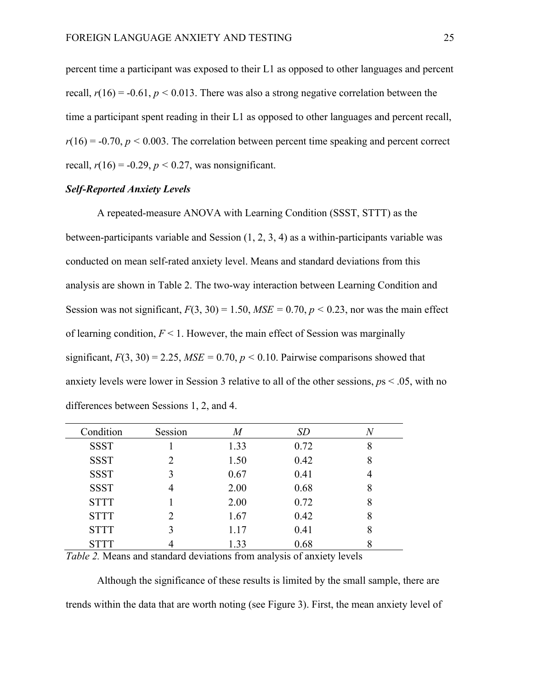percent time a participant was exposed to their L1 as opposed to other languages and percent recall,  $r(16) = -0.61$ ,  $p < 0.013$ . There was also a strong negative correlation between the time a participant spent reading in their L1 as opposed to other languages and percent recall,  $r(16) = -0.70$ ,  $p < 0.003$ . The correlation between percent time speaking and percent correct recall,  $r(16) = -0.29$ ,  $p < 0.27$ , was nonsignificant.

# *Self-Reported Anxiety Levels*

A repeated-measure ANOVA with Learning Condition (SSST, STTT) as the between-participants variable and Session (1, 2, 3, 4) as a within-participants variable was conducted on mean self-rated anxiety level. Means and standard deviations from this analysis are shown in Table 2. The two-way interaction between Learning Condition and Session was not significant,  $F(3, 30) = 1.50$ ,  $MSE = 0.70$ ,  $p < 0.23$ , nor was the main effect of learning condition, *F* < 1. However, the main effect of Session was marginally significant,  $F(3, 30) = 2.25$ ,  $MSE = 0.70$ ,  $p < 0.10$ . Pairwise comparisons showed that anxiety levels were lower in Session 3 relative to all of the other sessions, *p*s < .05, with no differences between Sessions 1, 2, and 4.

| Condition   | Session | M    | <i>SD</i> |   |
|-------------|---------|------|-----------|---|
| <b>SSST</b> |         | 1.33 | 0.72      | 8 |
| <b>SSST</b> |         | 1.50 | 0.42      | 8 |
| <b>SSST</b> |         | 0.67 | 0.41      |   |
| <b>SSST</b> |         | 2.00 | 0.68      | 8 |
| <b>STTT</b> |         | 2.00 | 0.72      | 8 |
| <b>STTT</b> |         | 1.67 | 0.42      | 8 |
| <b>STTT</b> |         | 1.17 | 0.41      | 8 |
| <b>STTT</b> |         | 1.33 | 0.68      |   |

*Table 2.* Means and standard deviations from analysis of anxiety levels

Although the significance of these results is limited by the small sample, there are trends within the data that are worth noting (see Figure 3). First, the mean anxiety level of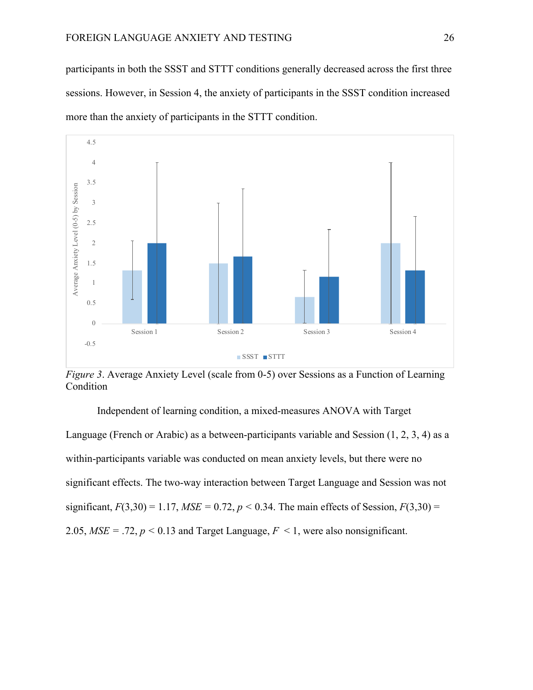participants in both the SSST and STTT conditions generally decreased across the first three sessions. However, in Session 4, the anxiety of participants in the SSST condition increased more than the anxiety of participants in the STTT condition.



*Figure 3*. Average Anxiety Level (scale from 0-5) over Sessions as a Function of Learning Condition

Independent of learning condition, a mixed-measures ANOVA with Target Language (French or Arabic) as a between-participants variable and Session (1, 2, 3, 4) as a within-participants variable was conducted on mean anxiety levels, but there were no significant effects. The two-way interaction between Target Language and Session was not significant,  $F(3,30) = 1.17$ ,  $MSE = 0.72$ ,  $p < 0.34$ . The main effects of Session,  $F(3,30) =$ 2.05,  $MSE = .72$ ,  $p < 0.13$  and Target Language,  $F < 1$ , were also nonsignificant.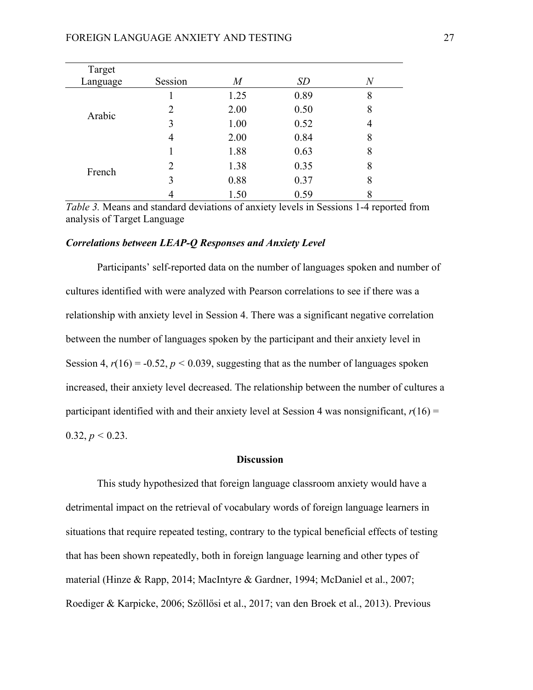| Target   |         |                |      |   |
|----------|---------|----------------|------|---|
| Language | Session | $\overline{M}$ | SD   | N |
| Arabic   |         | 1.25           | 0.89 | 8 |
|          | 2       | 2.00           | 0.50 | 8 |
|          | 3       | 1.00           | 0.52 | 4 |
|          | 4       | 2.00           | 0.84 | 8 |
| French   |         | 1.88           | 0.63 | 8 |
|          | 2       | 1.38           | 0.35 | 8 |
|          | 3       | 0.88           | 0.37 | 8 |
|          |         | 1.50           | 0.59 | 8 |

*Table 3.* Means and standard deviations of anxiety levels in Sessions 1-4 reported from analysis of Target Language

#### *Correlations between LEAP-Q Responses and Anxiety Level*

Participants' self-reported data on the number of languages spoken and number of cultures identified with were analyzed with Pearson correlations to see if there was a relationship with anxiety level in Session 4. There was a significant negative correlation between the number of languages spoken by the participant and their anxiety level in Session 4,  $r(16) = -0.52$ ,  $p < 0.039$ , suggesting that as the number of languages spoken increased, their anxiety level decreased. The relationship between the number of cultures a participant identified with and their anxiety level at Session 4 was nonsignificant,  $r(16) =$ 0.32,  $p < 0.23$ .

#### **Discussion**

This study hypothesized that foreign language classroom anxiety would have a detrimental impact on the retrieval of vocabulary words of foreign language learners in situations that require repeated testing, contrary to the typical beneficial effects of testing that has been shown repeatedly, both in foreign language learning and other types of material (Hinze & Rapp, 2014; MacIntyre & Gardner, 1994; McDaniel et al., 2007; Roediger & Karpicke, 2006; Szőllősi et al., 2017; van den Broek et al., 2013). Previous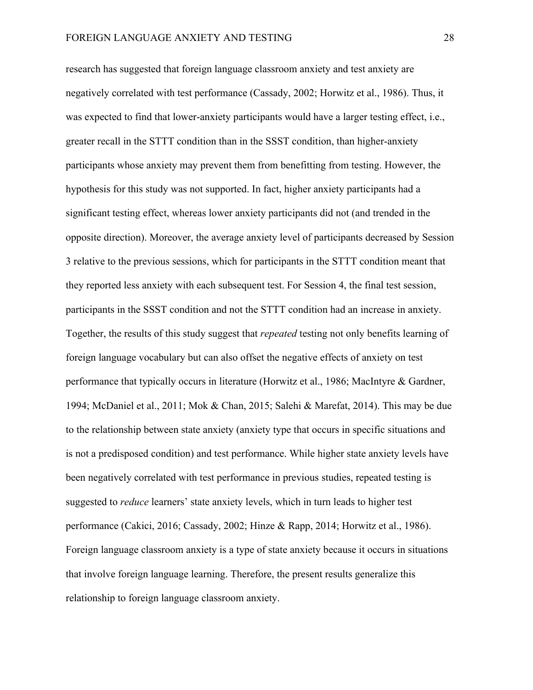research has suggested that foreign language classroom anxiety and test anxiety are negatively correlated with test performance (Cassady, 2002; Horwitz et al., 1986). Thus, it was expected to find that lower-anxiety participants would have a larger testing effect, i.e., greater recall in the STTT condition than in the SSST condition, than higher-anxiety participants whose anxiety may prevent them from benefitting from testing. However, the hypothesis for this study was not supported. In fact, higher anxiety participants had a significant testing effect, whereas lower anxiety participants did not (and trended in the opposite direction). Moreover, the average anxiety level of participants decreased by Session 3 relative to the previous sessions, which for participants in the STTT condition meant that they reported less anxiety with each subsequent test. For Session 4, the final test session, participants in the SSST condition and not the STTT condition had an increase in anxiety. Together, the results of this study suggest that *repeated* testing not only benefits learning of foreign language vocabulary but can also offset the negative effects of anxiety on test performance that typically occurs in literature (Horwitz et al., 1986; MacIntyre & Gardner, 1994; McDaniel et al., 2011; Mok & Chan, 2015; Salehi & Marefat, 2014). This may be due to the relationship between state anxiety (anxiety type that occurs in specific situations and is not a predisposed condition) and test performance. While higher state anxiety levels have been negatively correlated with test performance in previous studies, repeated testing is suggested to *reduce* learners' state anxiety levels, which in turn leads to higher test performance (Cakici, 2016; Cassady, 2002; Hinze & Rapp, 2014; Horwitz et al., 1986). Foreign language classroom anxiety is a type of state anxiety because it occurs in situations that involve foreign language learning. Therefore, the present results generalize this relationship to foreign language classroom anxiety.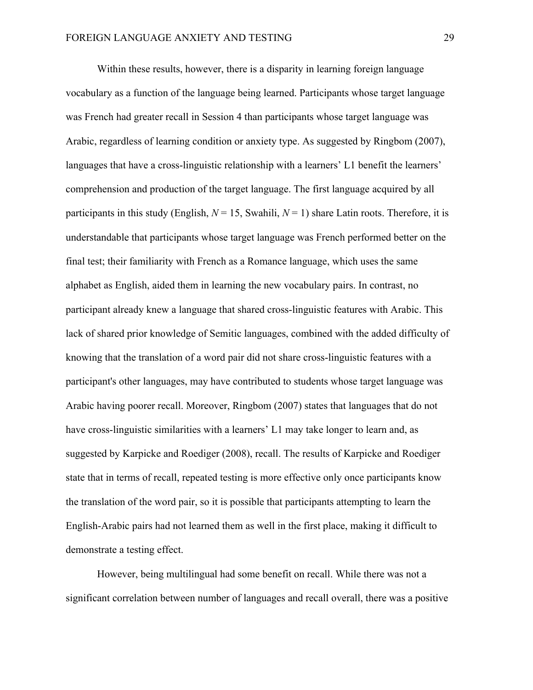Within these results, however, there is a disparity in learning foreign language vocabulary as a function of the language being learned. Participants whose target language was French had greater recall in Session 4 than participants whose target language was Arabic, regardless of learning condition or anxiety type. As suggested by Ringbom (2007), languages that have a cross-linguistic relationship with a learners' L1 benefit the learners' comprehension and production of the target language. The first language acquired by all participants in this study (English,  $N = 15$ , Swahili,  $N = 1$ ) share Latin roots. Therefore, it is understandable that participants whose target language was French performed better on the final test; their familiarity with French as a Romance language, which uses the same alphabet as English, aided them in learning the new vocabulary pairs. In contrast, no participant already knew a language that shared cross-linguistic features with Arabic. This lack of shared prior knowledge of Semitic languages, combined with the added difficulty of knowing that the translation of a word pair did not share cross-linguistic features with a participant's other languages, may have contributed to students whose target language was Arabic having poorer recall. Moreover, Ringbom (2007) states that languages that do not have cross-linguistic similarities with a learners' L1 may take longer to learn and, as suggested by Karpicke and Roediger (2008), recall. The results of Karpicke and Roediger state that in terms of recall, repeated testing is more effective only once participants know the translation of the word pair, so it is possible that participants attempting to learn the English-Arabic pairs had not learned them as well in the first place, making it difficult to demonstrate a testing effect.

However, being multilingual had some benefit on recall. While there was not a significant correlation between number of languages and recall overall, there was a positive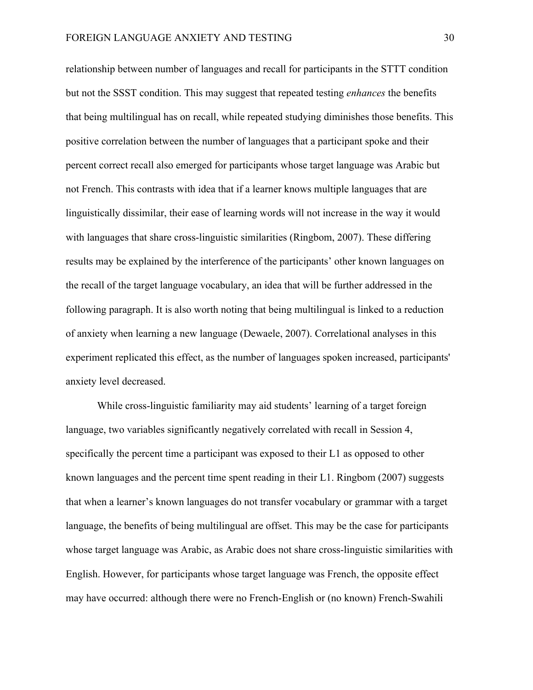relationship between number of languages and recall for participants in the STTT condition but not the SSST condition. This may suggest that repeated testing *enhances* the benefits that being multilingual has on recall, while repeated studying diminishes those benefits. This positive correlation between the number of languages that a participant spoke and their percent correct recall also emerged for participants whose target language was Arabic but not French. This contrasts with idea that if a learner knows multiple languages that are linguistically dissimilar, their ease of learning words will not increase in the way it would with languages that share cross-linguistic similarities (Ringbom, 2007). These differing results may be explained by the interference of the participants' other known languages on the recall of the target language vocabulary, an idea that will be further addressed in the following paragraph. It is also worth noting that being multilingual is linked to a reduction of anxiety when learning a new language (Dewaele, 2007). Correlational analyses in this experiment replicated this effect, as the number of languages spoken increased, participants' anxiety level decreased.

While cross-linguistic familiarity may aid students' learning of a target foreign language, two variables significantly negatively correlated with recall in Session 4, specifically the percent time a participant was exposed to their L1 as opposed to other known languages and the percent time spent reading in their L1. Ringbom (2007) suggests that when a learner's known languages do not transfer vocabulary or grammar with a target language, the benefits of being multilingual are offset. This may be the case for participants whose target language was Arabic, as Arabic does not share cross-linguistic similarities with English. However, for participants whose target language was French, the opposite effect may have occurred: although there were no French-English or (no known) French-Swahili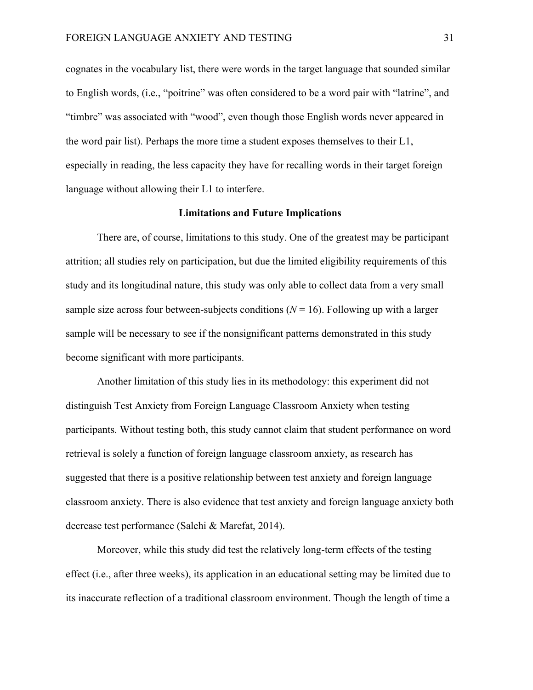cognates in the vocabulary list, there were words in the target language that sounded similar to English words, (i.e., "poitrine" was often considered to be a word pair with "latrine", and "timbre" was associated with "wood", even though those English words never appeared in the word pair list). Perhaps the more time a student exposes themselves to their L1, especially in reading, the less capacity they have for recalling words in their target foreign language without allowing their L1 to interfere.

# **Limitations and Future Implications**

There are, of course, limitations to this study. One of the greatest may be participant attrition; all studies rely on participation, but due the limited eligibility requirements of this study and its longitudinal nature, this study was only able to collect data from a very small sample size across four between-subjects conditions  $(N = 16)$ . Following up with a larger sample will be necessary to see if the nonsignificant patterns demonstrated in this study become significant with more participants.

Another limitation of this study lies in its methodology: this experiment did not distinguish Test Anxiety from Foreign Language Classroom Anxiety when testing participants. Without testing both, this study cannot claim that student performance on word retrieval is solely a function of foreign language classroom anxiety, as research has suggested that there is a positive relationship between test anxiety and foreign language classroom anxiety. There is also evidence that test anxiety and foreign language anxiety both decrease test performance (Salehi & Marefat, 2014).

Moreover, while this study did test the relatively long-term effects of the testing effect (i.e., after three weeks), its application in an educational setting may be limited due to its inaccurate reflection of a traditional classroom environment. Though the length of time a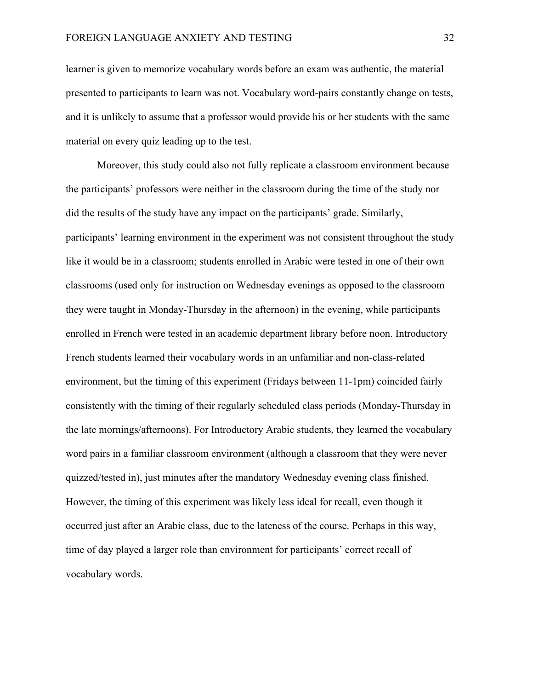learner is given to memorize vocabulary words before an exam was authentic, the material presented to participants to learn was not. Vocabulary word-pairs constantly change on tests, and it is unlikely to assume that a professor would provide his or her students with the same material on every quiz leading up to the test.

Moreover, this study could also not fully replicate a classroom environment because the participants' professors were neither in the classroom during the time of the study nor did the results of the study have any impact on the participants' grade. Similarly, participants' learning environment in the experiment was not consistent throughout the study like it would be in a classroom; students enrolled in Arabic were tested in one of their own classrooms (used only for instruction on Wednesday evenings as opposed to the classroom they were taught in Monday-Thursday in the afternoon) in the evening, while participants enrolled in French were tested in an academic department library before noon. Introductory French students learned their vocabulary words in an unfamiliar and non-class-related environment, but the timing of this experiment (Fridays between 11-1pm) coincided fairly consistently with the timing of their regularly scheduled class periods (Monday-Thursday in the late mornings/afternoons). For Introductory Arabic students, they learned the vocabulary word pairs in a familiar classroom environment (although a classroom that they were never quizzed/tested in), just minutes after the mandatory Wednesday evening class finished. However, the timing of this experiment was likely less ideal for recall, even though it occurred just after an Arabic class, due to the lateness of the course. Perhaps in this way, time of day played a larger role than environment for participants' correct recall of vocabulary words.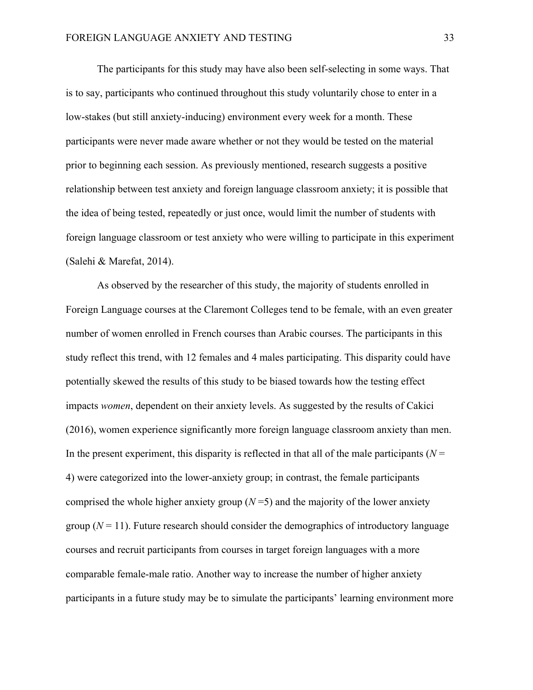The participants for this study may have also been self-selecting in some ways. That is to say, participants who continued throughout this study voluntarily chose to enter in a low-stakes (but still anxiety-inducing) environment every week for a month. These participants were never made aware whether or not they would be tested on the material prior to beginning each session. As previously mentioned, research suggests a positive relationship between test anxiety and foreign language classroom anxiety; it is possible that the idea of being tested, repeatedly or just once, would limit the number of students with foreign language classroom or test anxiety who were willing to participate in this experiment (Salehi & Marefat, 2014).

As observed by the researcher of this study, the majority of students enrolled in Foreign Language courses at the Claremont Colleges tend to be female, with an even greater number of women enrolled in French courses than Arabic courses. The participants in this study reflect this trend, with 12 females and 4 males participating. This disparity could have potentially skewed the results of this study to be biased towards how the testing effect impacts *women*, dependent on their anxiety levels. As suggested by the results of Cakici (2016), women experience significantly more foreign language classroom anxiety than men. In the present experiment, this disparity is reflected in that all of the male participants ( $N =$ 4) were categorized into the lower-anxiety group; in contrast, the female participants comprised the whole higher anxiety group  $(N=5)$  and the majority of the lower anxiety group  $(N = 11)$ . Future research should consider the demographics of introductory language courses and recruit participants from courses in target foreign languages with a more comparable female-male ratio. Another way to increase the number of higher anxiety participants in a future study may be to simulate the participants' learning environment more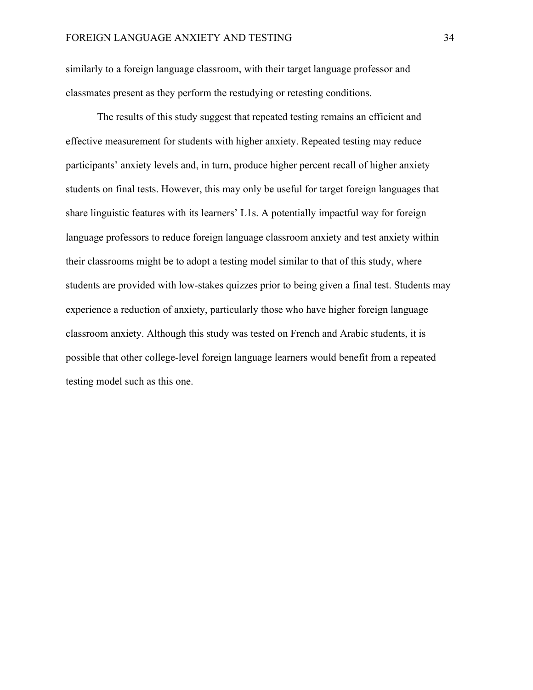similarly to a foreign language classroom, with their target language professor and classmates present as they perform the restudying or retesting conditions.

The results of this study suggest that repeated testing remains an efficient and effective measurement for students with higher anxiety. Repeated testing may reduce participants' anxiety levels and, in turn, produce higher percent recall of higher anxiety students on final tests. However, this may only be useful for target foreign languages that share linguistic features with its learners' L1s. A potentially impactful way for foreign language professors to reduce foreign language classroom anxiety and test anxiety within their classrooms might be to adopt a testing model similar to that of this study, where students are provided with low-stakes quizzes prior to being given a final test. Students may experience a reduction of anxiety, particularly those who have higher foreign language classroom anxiety. Although this study was tested on French and Arabic students, it is possible that other college-level foreign language learners would benefit from a repeated testing model such as this one.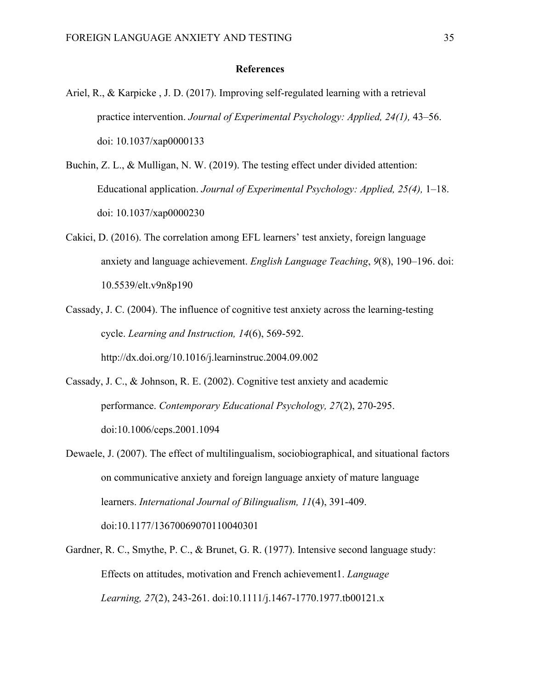#### **References**

- Ariel, R., & Karpicke , J. D. (2017). Improving self-regulated learning with a retrieval practice intervention. *Journal of Experimental Psychology: Applied, 24(1),* 43–56. doi: 10.1037/xap0000133
- Buchin, Z. L., & Mulligan, N. W. (2019). The testing effect under divided attention: Educational application. *Journal of Experimental Psychology: Applied, 25(4),* 1–18. doi: 10.1037/xap0000230
- Cakici, D. (2016). The correlation among EFL learners' test anxiety, foreign language anxiety and language achievement. *English Language Teaching*, *9*(8), 190–196. doi: 10.5539/elt.v9n8p190
- Cassady, J. C. (2004). The influence of cognitive test anxiety across the learning-testing cycle. *Learning and Instruction, 14*(6), 569-592. http://dx.doi.org/10.1016/j.learninstruc.2004.09.002
- Cassady, J. C., & Johnson, R. E. (2002). Cognitive test anxiety and academic performance. *Contemporary Educational Psychology, 27*(2), 270-295. doi:10.1006/ceps.2001.1094
- Dewaele, J. (2007). The effect of multilingualism, sociobiographical, and situational factors on communicative anxiety and foreign language anxiety of mature language learners. *International Journal of Bilingualism, 11*(4), 391-409. doi:10.1177/13670069070110040301
- Gardner, R. C., Smythe, P. C., & Brunet, G. R. (1977). Intensive second language study: Effects on attitudes, motivation and French achievement1. *Language Learning, 27*(2), 243-261. doi:10.1111/j.1467-1770.1977.tb00121.x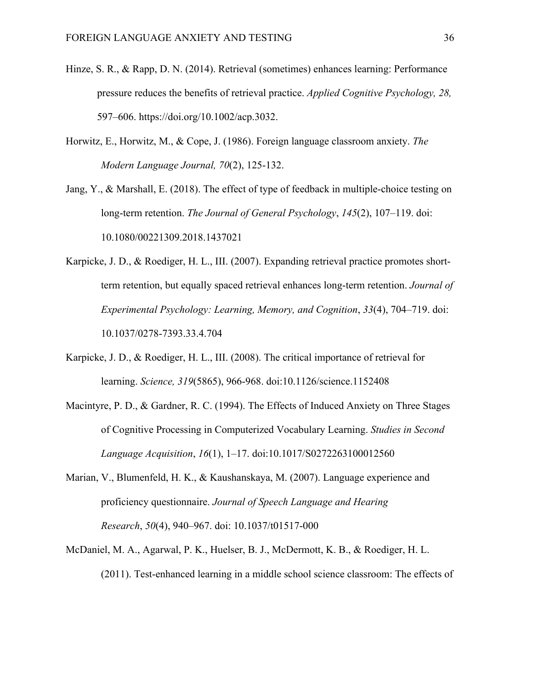- Hinze, S. R., & Rapp, D. N. (2014). Retrieval (sometimes) enhances learning: Performance pressure reduces the benefits of retrieval practice. *Applied Cognitive Psychology, 28,* 597–606. https://doi.org/10.1002/acp.3032.
- Horwitz, E., Horwitz, M., & Cope, J. (1986). Foreign language classroom anxiety. *The Modern Language Journal, 70*(2), 125-132.
- Jang, Y., & Marshall, E. (2018). The effect of type of feedback in multiple-choice testing on long-term retention. *The Journal of General Psychology*, *145*(2), 107–119. doi: 10.1080/00221309.2018.1437021
- Karpicke, J. D., & Roediger, H. L., III. (2007). Expanding retrieval practice promotes shortterm retention, but equally spaced retrieval enhances long-term retention. *Journal of Experimental Psychology: Learning, Memory, and Cognition*, *33*(4), 704–719. doi: 10.1037/0278-7393.33.4.704
- Karpicke, J. D., & Roediger, H. L., III. (2008). The critical importance of retrieval for learning. *Science, 319*(5865), 966-968. doi:10.1126/science.1152408
- Macintyre, P. D., & Gardner, R. C. (1994). The Effects of Induced Anxiety on Three Stages of Cognitive Processing in Computerized Vocabulary Learning. *Studies in Second Language Acquisition*, *16*(1), 1–17. doi:10.1017/S0272263100012560
- Marian, V., Blumenfeld, H. K., & Kaushanskaya, M. (2007). Language experience and proficiency questionnaire. *Journal of Speech Language and Hearing Research*, *50*(4), 940–967. doi: 10.1037/t01517-000
- McDaniel, M. A., Agarwal, P. K., Huelser, B. J., McDermott, K. B., & Roediger, H. L. (2011). Test-enhanced learning in a middle school science classroom: The effects of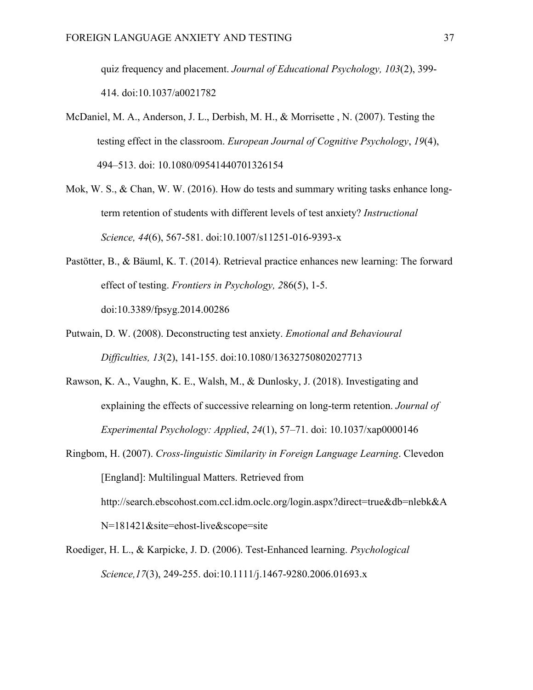quiz frequency and placement. *Journal of Educational Psychology, 103*(2), 399- 414. doi:10.1037/a0021782

- McDaniel, M. A., Anderson, J. L., Derbish, M. H., & Morrisette , N. (2007). Testing the testing effect in the classroom. *European Journal of Cognitive Psychology*, *19*(4), 494–513. doi: 10.1080/09541440701326154
- Mok, W. S., & Chan, W. W. (2016). How do tests and summary writing tasks enhance longterm retention of students with different levels of test anxiety? *Instructional Science, 44*(6), 567-581. doi:10.1007/s11251-016-9393-x
- Pastötter, B., & Bäuml, K. T. (2014). Retrieval practice enhances new learning: The forward effect of testing. *Frontiers in Psychology, 2*86(5), 1-5. doi:10.3389/fpsyg.2014.00286
- Putwain, D. W. (2008). Deconstructing test anxiety. *Emotional and Behavioural Difficulties, 13*(2), 141-155. doi:10.1080/13632750802027713
- Rawson, K. A., Vaughn, K. E., Walsh, M., & Dunlosky, J. (2018). Investigating and explaining the effects of successive relearning on long-term retention. *Journal of Experimental Psychology: Applied*, *24*(1), 57–71. doi: 10.1037/xap0000146
- Ringbom, H. (2007). *Cross-linguistic Similarity in Foreign Language Learning*. Clevedon [England]: Multilingual Matters. Retrieved from http://search.ebscohost.com.ccl.idm.oclc.org/login.aspx?direct=true&db=nlebk&A N=181421&site=ehost-live&scope=site
- Roediger, H. L., & Karpicke, J. D. (2006). Test-Enhanced learning. *Psychological Science,17*(3), 249-255. doi:10.1111/j.1467-9280.2006.01693.x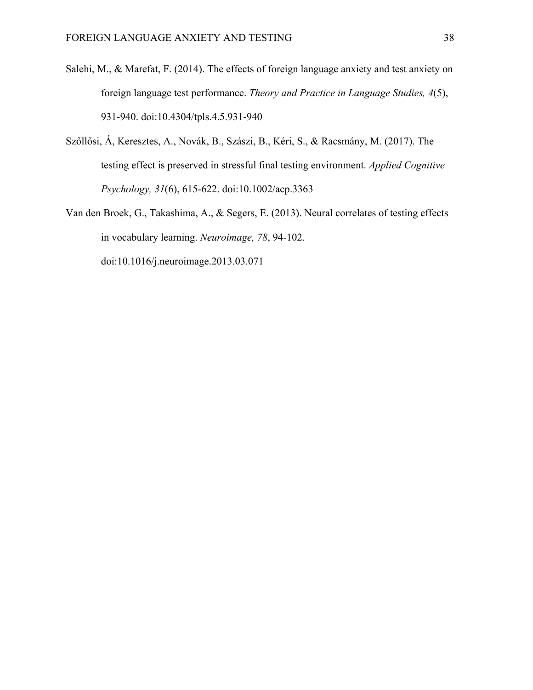- Salehi, M., & Marefat, F. (2014). The effects of foreign language anxiety and test anxiety on foreign language test performance. *Theory and Practice in Language Studies, 4*(5), 931-940. doi:10.4304/tpls.4.5.931-940
- Szőllősi, Á, Keresztes, A., Novák, B., Szászi, B., Kéri, S., & Racsmány, M. (2017). The testing effect is preserved in stressful final testing environment. *Applied Cognitive Psychology, 31*(6), 615-622. doi:10.1002/acp.3363
- Van den Broek, G., Takashima, A., & Segers, E. (2013). Neural correlates of testing effects in vocabulary learning. *Neuroimage, 78*, 94-102. doi:10.1016/j.neuroimage.2013.03.071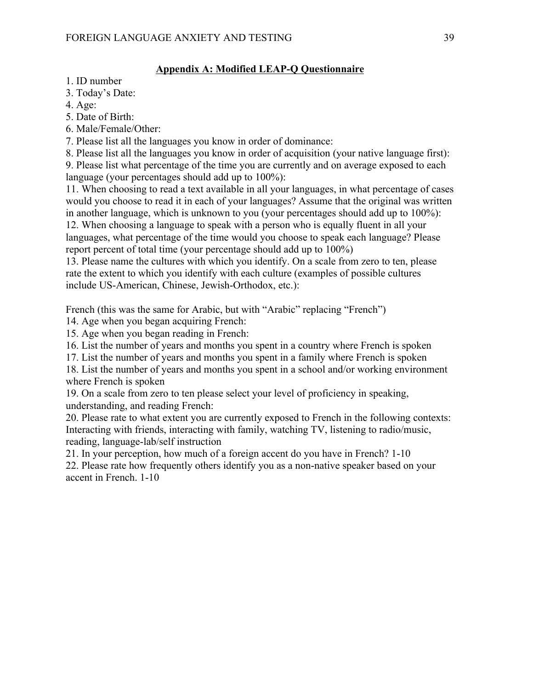# **Appendix A: Modified LEAP-Q Questionnaire**

- 1. ID number
- 3. Today's Date:
- 4. Age:
- 5. Date of Birth:
- 6. Male/Female/Other:
- 7. Please list all the languages you know in order of dominance:

8. Please list all the languages you know in order of acquisition (your native language first):

9. Please list what percentage of the time you are currently and on average exposed to each language (your percentages should add up to 100%):

11. When choosing to read a text available in all your languages, in what percentage of cases would you choose to read it in each of your languages? Assume that the original was written in another language, which is unknown to you (your percentages should add up to 100%):

12. When choosing a language to speak with a person who is equally fluent in all your languages, what percentage of the time would you choose to speak each language? Please report percent of total time (your percentage should add up to 100%)

13. Please name the cultures with which you identify. On a scale from zero to ten, please rate the extent to which you identify with each culture (examples of possible cultures include US-American, Chinese, Jewish-Orthodox, etc.):

French (this was the same for Arabic, but with "Arabic" replacing "French")

14. Age when you began acquiring French:

15. Age when you began reading in French:

16. List the number of years and months you spent in a country where French is spoken

17. List the number of years and months you spent in a family where French is spoken

18. List the number of years and months you spent in a school and/or working environment where French is spoken

19. On a scale from zero to ten please select your level of proficiency in speaking, understanding, and reading French:

20. Please rate to what extent you are currently exposed to French in the following contexts: Interacting with friends, interacting with family, watching TV, listening to radio/music, reading, language-lab/self instruction

21. In your perception, how much of a foreign accent do you have in French? 1-10

22. Please rate how frequently others identify you as a non-native speaker based on your accent in French. 1-10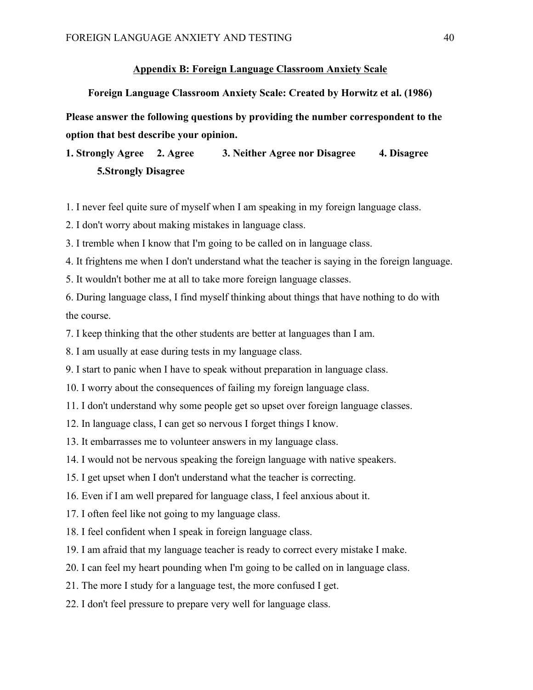#### **Appendix B: Foreign Language Classroom Anxiety Scale**

**Foreign Language Classroom Anxiety Scale: Created by Horwitz et al. (1986)**

**Please answer the following questions by providing the number correspondent to the option that best describe your opinion.**

# **1. Strongly Agree 2. Agree 3. Neither Agree nor Disagree 4. Disagree 5.Strongly Disagree**

1. I never feel quite sure of myself when I am speaking in my foreign language class.

2. I don't worry about making mistakes in language class.

3. I tremble when I know that I'm going to be called on in language class.

4. It frightens me when I don't understand what the teacher is saying in the foreign language.

5. It wouldn't bother me at all to take more foreign language classes.

6. During language class, I find myself thinking about things that have nothing to do with the course.

7. I keep thinking that the other students are better at languages than I am.

8. I am usually at ease during tests in my language class.

9. I start to panic when I have to speak without preparation in language class.

10. I worry about the consequences of failing my foreign language class.

11. I don't understand why some people get so upset over foreign language classes.

12. In language class, I can get so nervous I forget things I know.

13. It embarrasses me to volunteer answers in my language class.

14. I would not be nervous speaking the foreign language with native speakers.

15. I get upset when I don't understand what the teacher is correcting.

16. Even if I am well prepared for language class, I feel anxious about it.

17. I often feel like not going to my language class.

18. I feel confident when I speak in foreign language class.

19. I am afraid that my language teacher is ready to correct every mistake I make.

20. I can feel my heart pounding when I'm going to be called on in language class.

21. The more I study for a language test, the more confused I get.

22. I don't feel pressure to prepare very well for language class.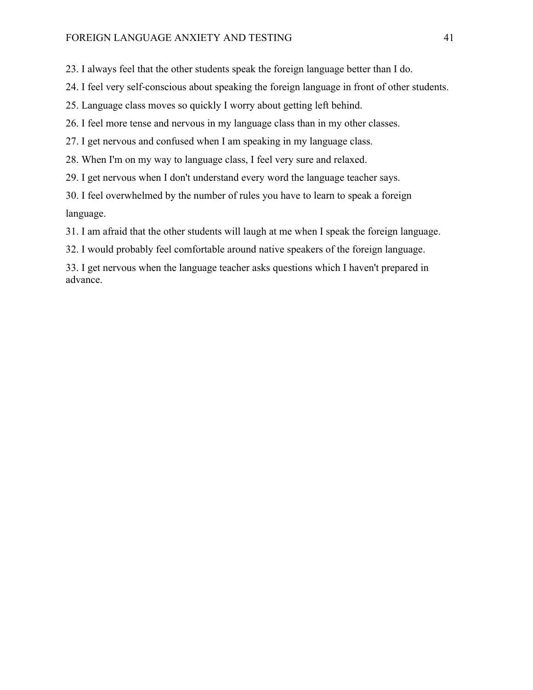23. I always feel that the other students speak the foreign language better than I do.

24. I feel very self‐conscious about speaking the foreign language in front of other students.

25. Language class moves so quickly I worry about getting left behind.

26. I feel more tense and nervous in my language class than in my other classes.

27. I get nervous and confused when I am speaking in my language class.

28. When I'm on my way to language class, I feel very sure and relaxed.

29. I get nervous when I don't understand every word the language teacher says.

30. I feel overwhelmed by the number of rules you have to learn to speak a foreign language.

31. I am afraid that the other students will laugh at me when I speak the foreign language.

32. I would probably feel comfortable around native speakers of the foreign language.

33. I get nervous when the language teacher asks questions which I haven't prepared in advance.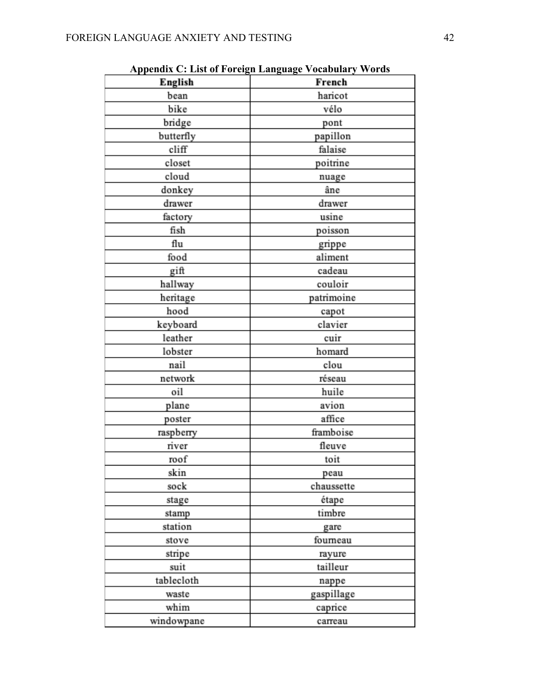| English    | French     |
|------------|------------|
| bean       | haricot    |
| bike       | vélo       |
| bridge     | pont       |
| butterfly  | papillon   |
| cliff      | falaise    |
| closet     | poitrine   |
| cloud      | nuage      |
| donkey     | âne        |
| drawer     | drawer     |
| factory    | usine      |
| fish       | poisson    |
| flu        | grippe     |
| food       | aliment    |
| gift       | cadeau     |
| hallway    | couloir    |
| heritage   | patrimoine |
| hood       | capot      |
| keyboard   | clavier    |
| leather    | cuir       |
| lobster    | homard     |
| nail       | clou       |
| network    | réseau     |
| oil        | huile      |
| plane      | avion      |
| poster     | affice     |
| raspberry  | framboise  |
| river      | fleuve     |
| roof       | toit       |
| skin       | peau       |
| sock       | chaussette |
| stage      | étape      |
| stamp      | timbre     |
| station    | gare       |
| stove      | fourneau   |
| stripe     | rayure     |
| suit       | tailleur   |
| tablecloth | nappe      |
| waste      | gaspillage |
| whim       | caprice    |
| windowpane | carreau    |

**Appendix C: List of Foreign Language Vocabulary Words**